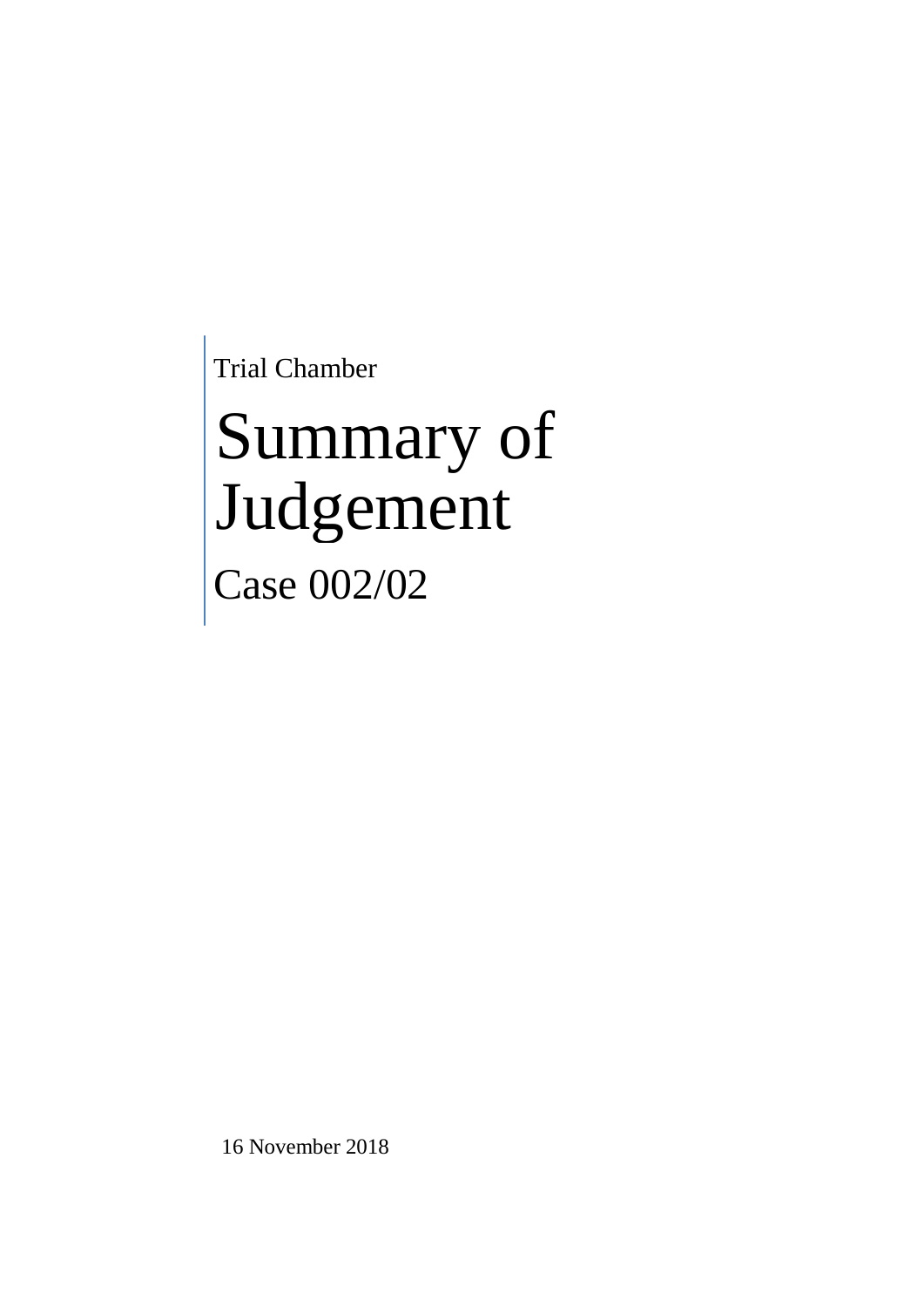Trial Chamber

# Summary of Judgement

Case 002/02

16 November 2018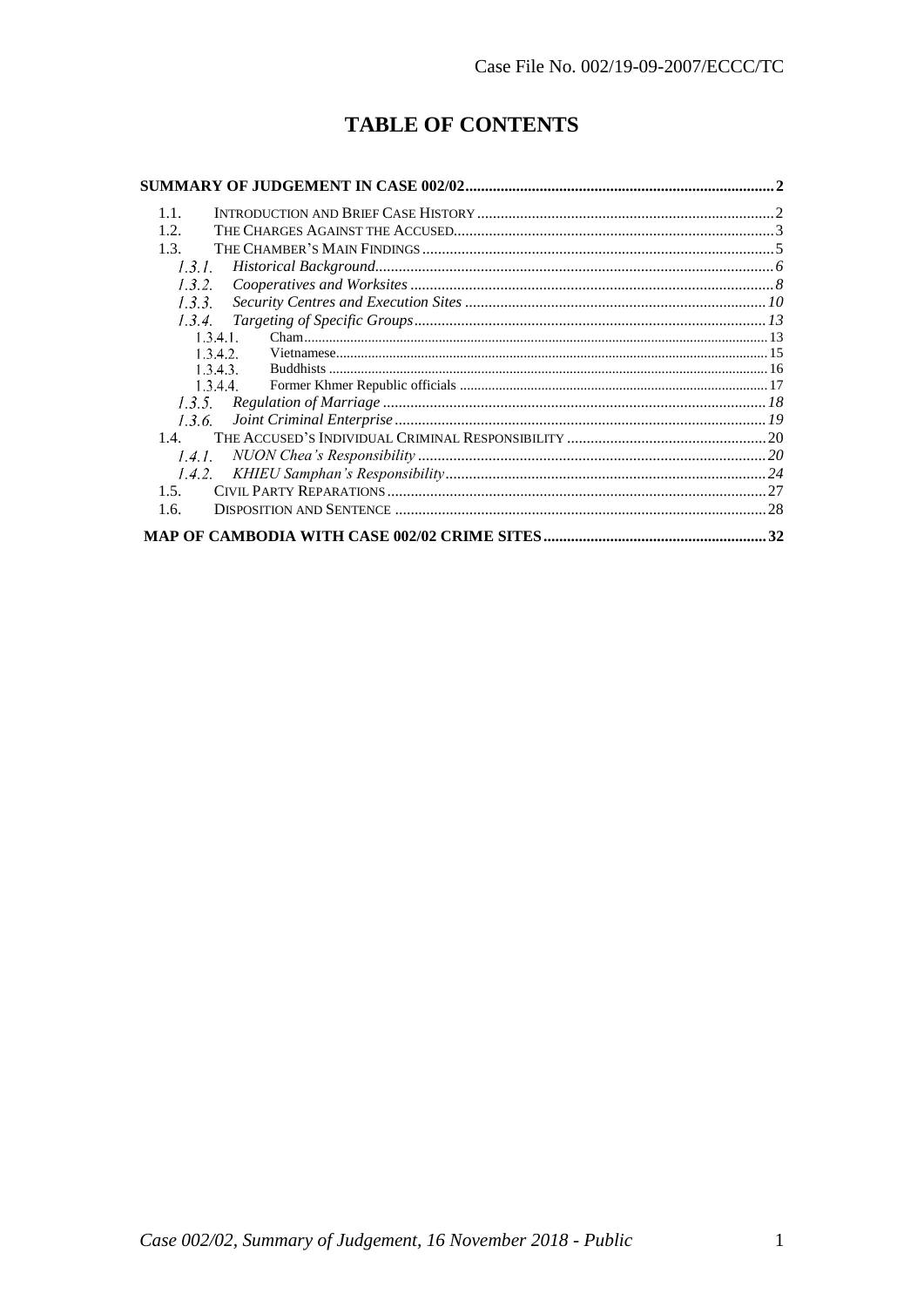# **TABLE OF CONTENTS**

| 1.1.     |  |
|----------|--|
| 1.2.     |  |
| 1.3.     |  |
| 131      |  |
| 1.3.2.   |  |
| 1.3.3.   |  |
| 1.3.4.   |  |
| 1.3.4.1. |  |
| 1.3.4.2. |  |
| 1.3.4.3. |  |
| 1.3.4.4. |  |
| 1.3.5.   |  |
| 1.3.6.   |  |
| 14       |  |
| 1.4.1.   |  |
|          |  |
| 1.5.     |  |
| 1.6.     |  |
|          |  |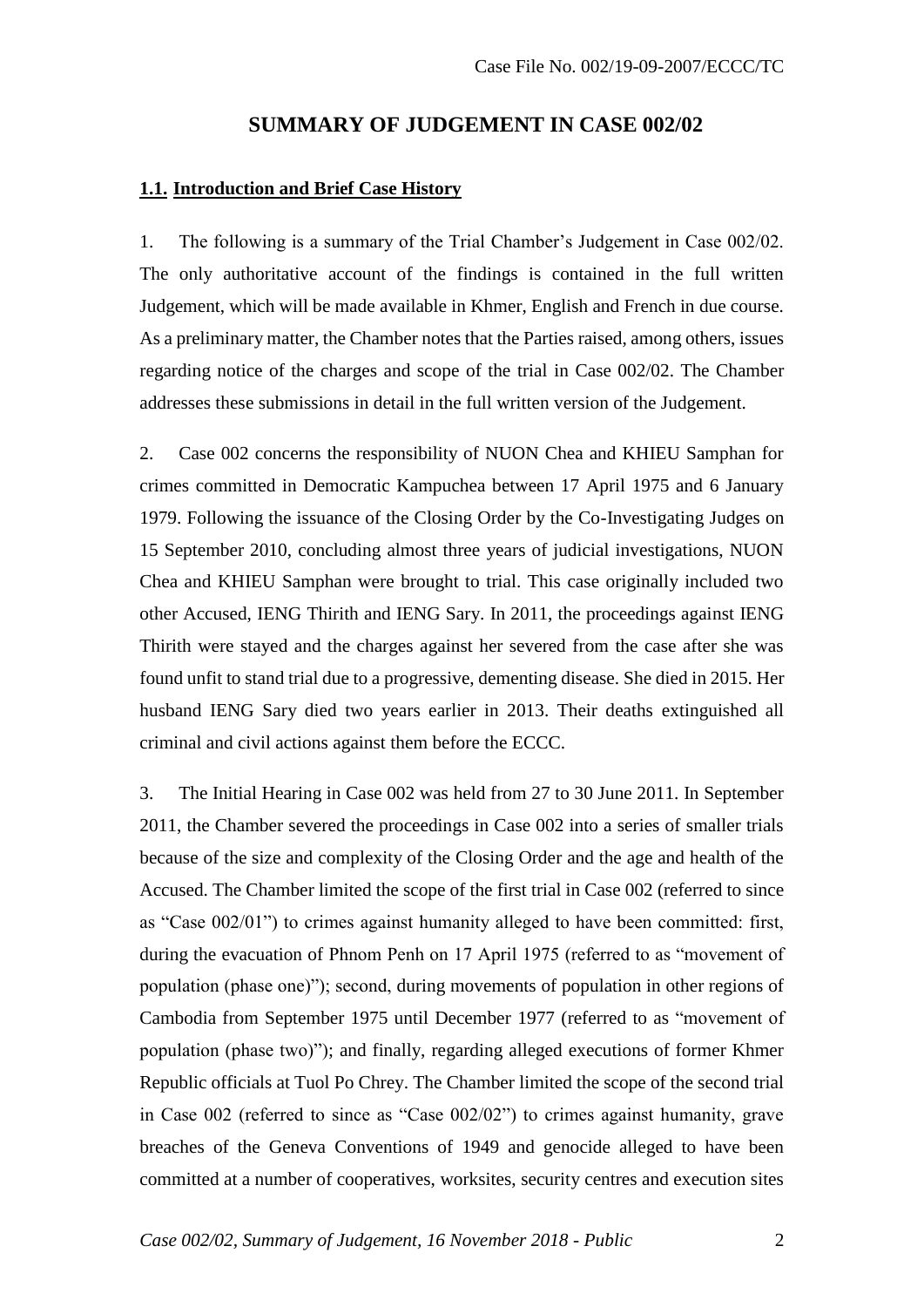## <span id="page-2-0"></span>**SUMMARY OF JUDGEMENT IN CASE 002/02**

## <span id="page-2-1"></span>**1.1. Introduction and Brief Case History**

1. The following is a summary of the Trial Chamber's Judgement in Case 002/02. The only authoritative account of the findings is contained in the full written Judgement, which will be made available in Khmer, English and French in due course. As a preliminary matter, the Chamber notes that the Parties raised, among others, issues regarding notice of the charges and scope of the trial in Case 002/02. The Chamber addresses these submissions in detail in the full written version of the Judgement.

2. Case 002 concerns the responsibility of NUON Chea and KHIEU Samphan for crimes committed in Democratic Kampuchea between 17 April 1975 and 6 January 1979. Following the issuance of the Closing Order by the Co-Investigating Judges on 15 September 2010, concluding almost three years of judicial investigations, NUON Chea and KHIEU Samphan were brought to trial. This case originally included two other Accused, IENG Thirith and IENG Sary. In 2011, the proceedings against IENG Thirith were stayed and the charges against her severed from the case after she was found unfit to stand trial due to a progressive, dementing disease. She died in 2015. Her husband IENG Sary died two years earlier in 2013. Their deaths extinguished all criminal and civil actions against them before the ECCC.

3. The Initial Hearing in Case 002 was held from 27 to 30 June 2011. In September 2011, the Chamber severed the proceedings in Case 002 into a series of smaller trials because of the size and complexity of the Closing Order and the age and health of the Accused. The Chamber limited the scope of the first trial in Case 002 (referred to since as "Case 002/01") to crimes against humanity alleged to have been committed: first, during the evacuation of Phnom Penh on 17 April 1975 (referred to as "movement of population (phase one)"); second, during movements of population in other regions of Cambodia from September 1975 until December 1977 (referred to as "movement of population (phase two)"); and finally, regarding alleged executions of former Khmer Republic officials at Tuol Po Chrey. The Chamber limited the scope of the second trial in Case 002 (referred to since as "Case 002/02") to crimes against humanity, grave breaches of the Geneva Conventions of 1949 and genocide alleged to have been committed at a number of cooperatives, worksites, security centres and execution sites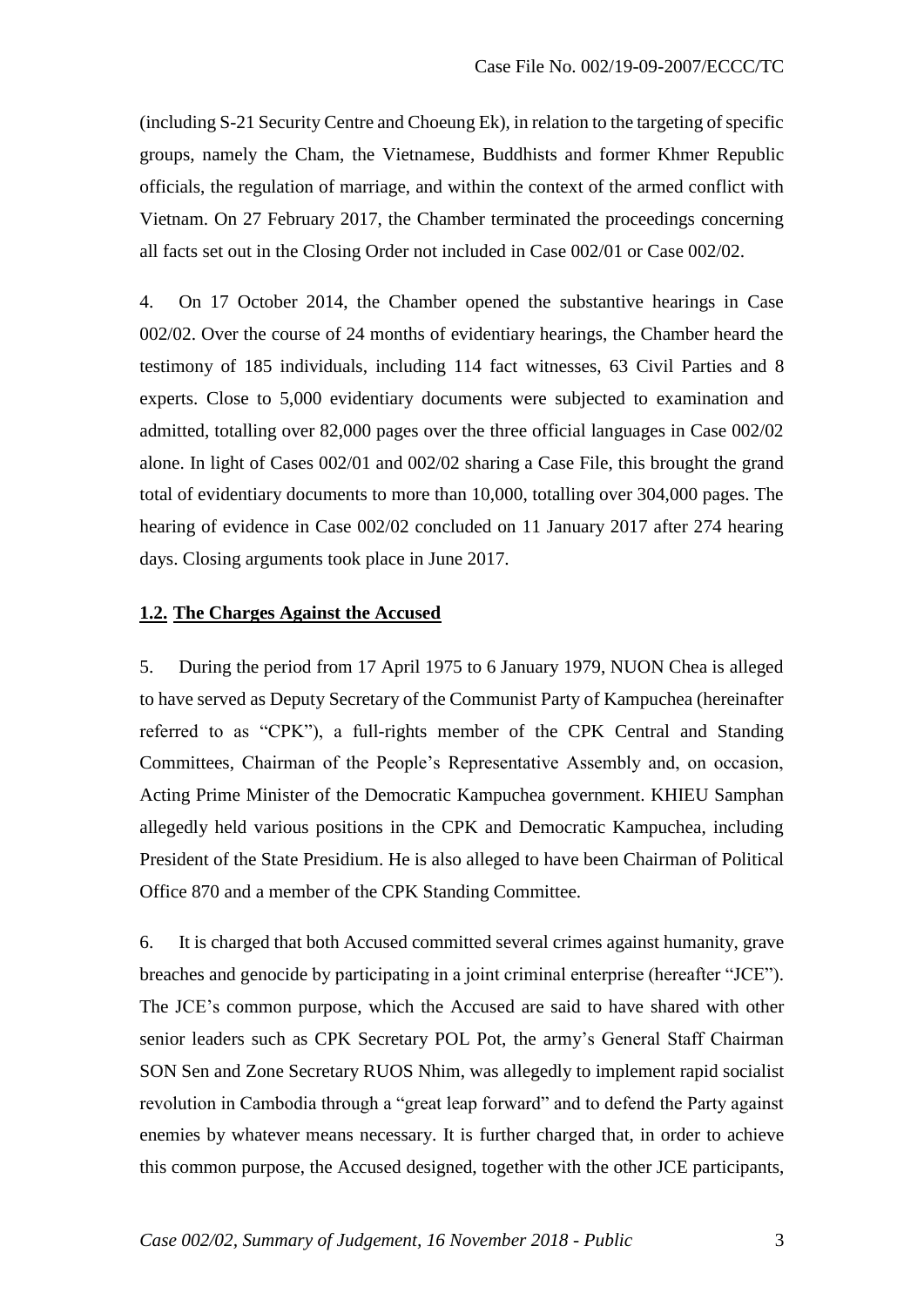(including S-21 Security Centre and Choeung Ek), in relation to the targeting of specific groups, namely the Cham, the Vietnamese, Buddhists and former Khmer Republic officials, the regulation of marriage, and within the context of the armed conflict with Vietnam. On 27 February 2017, the Chamber terminated the proceedings concerning all facts set out in the Closing Order not included in Case 002/01 or Case 002/02.

4. On 17 October 2014, the Chamber opened the substantive hearings in Case 002/02. Over the course of 24 months of evidentiary hearings, the Chamber heard the testimony of 185 individuals, including 114 fact witnesses, 63 Civil Parties and 8 experts. Close to 5,000 evidentiary documents were subjected to examination and admitted, totalling over 82,000 pages over the three official languages in Case 002/02 alone. In light of Cases 002/01 and 002/02 sharing a Case File, this brought the grand total of evidentiary documents to more than 10,000, totalling over 304,000 pages. The hearing of evidence in Case 002/02 concluded on 11 January 2017 after 274 hearing days. Closing arguments took place in June 2017.

## <span id="page-3-0"></span>**1.2. The Charges Against the Accused**

5. During the period from 17 April 1975 to 6 January 1979, NUON Chea is alleged to have served as Deputy Secretary of the Communist Party of Kampuchea (hereinafter referred to as "CPK"), a full-rights member of the CPK Central and Standing Committees, Chairman of the People's Representative Assembly and, on occasion, Acting Prime Minister of the Democratic Kampuchea government. KHIEU Samphan allegedly held various positions in the CPK and Democratic Kampuchea, including President of the State Presidium. He is also alleged to have been Chairman of Political Office 870 and a member of the CPK Standing Committee.

6. It is charged that both Accused committed several crimes against humanity, grave breaches and genocide by participating in a joint criminal enterprise (hereafter "JCE"). The JCE's common purpose, which the Accused are said to have shared with other senior leaders such as CPK Secretary POL Pot, the army's General Staff Chairman SON Sen and Zone Secretary RUOS Nhim, was allegedly to implement rapid socialist revolution in Cambodia through a "great leap forward" and to defend the Party against enemies by whatever means necessary. It is further charged that, in order to achieve this common purpose, the Accused designed, together with the other JCE participants,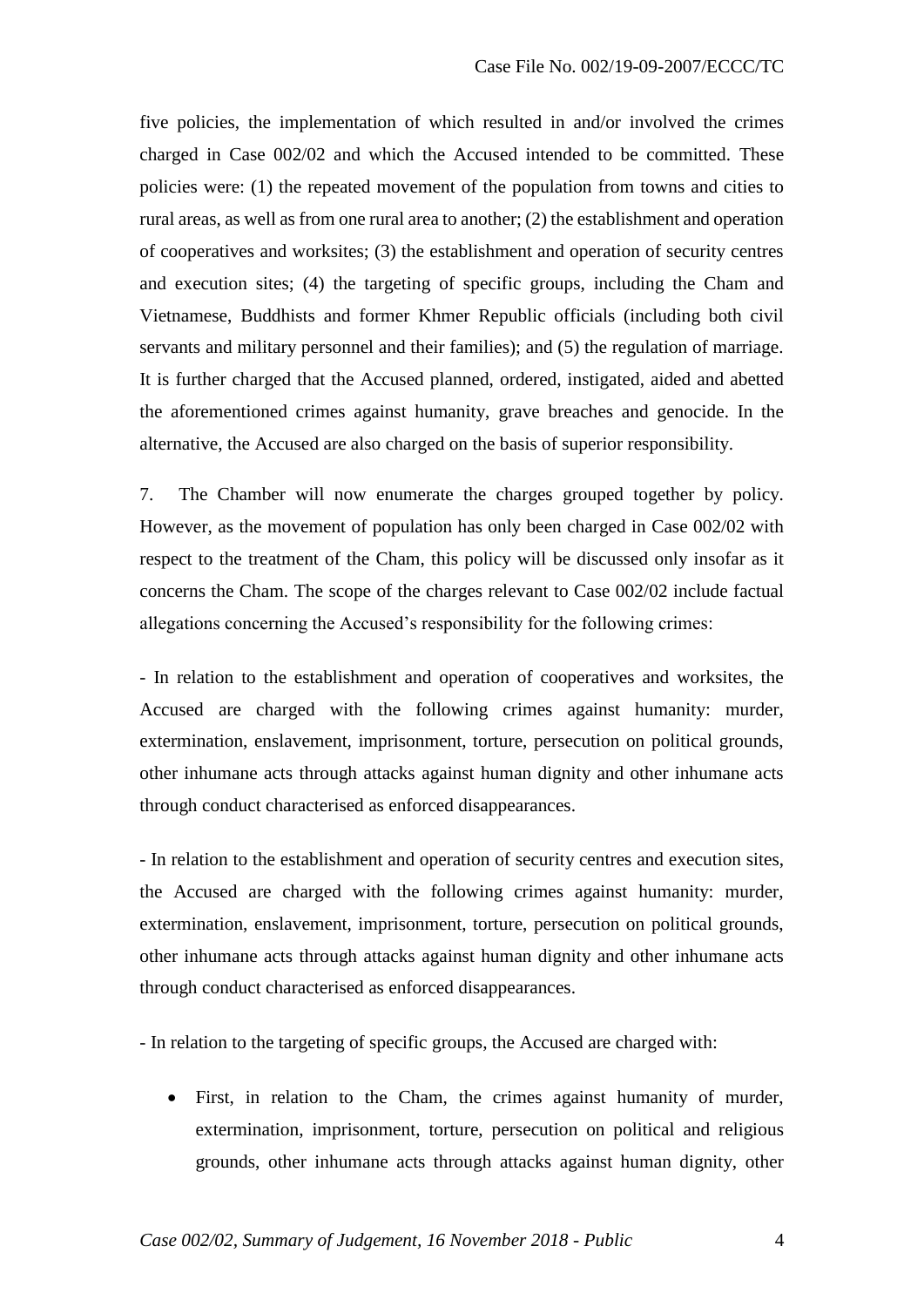five policies, the implementation of which resulted in and/or involved the crimes charged in Case 002/02 and which the Accused intended to be committed. These policies were: (1) the repeated movement of the population from towns and cities to rural areas, as well as from one rural area to another; (2) the establishment and operation of cooperatives and worksites; (3) the establishment and operation of security centres and execution sites; (4) the targeting of specific groups, including the Cham and Vietnamese, Buddhists and former Khmer Republic officials (including both civil servants and military personnel and their families); and (5) the regulation of marriage. It is further charged that the Accused planned, ordered, instigated, aided and abetted the aforementioned crimes against humanity, grave breaches and genocide. In the alternative, the Accused are also charged on the basis of superior responsibility.

7. The Chamber will now enumerate the charges grouped together by policy. However, as the movement of population has only been charged in Case 002/02 with respect to the treatment of the Cham, this policy will be discussed only insofar as it concerns the Cham. The scope of the charges relevant to Case 002/02 include factual allegations concerning the Accused's responsibility for the following crimes:

- In relation to the establishment and operation of cooperatives and worksites, the Accused are charged with the following crimes against humanity: murder, extermination, enslavement, imprisonment, torture, persecution on political grounds, other inhumane acts through attacks against human dignity and other inhumane acts through conduct characterised as enforced disappearances.

- In relation to the establishment and operation of security centres and execution sites, the Accused are charged with the following crimes against humanity: murder, extermination, enslavement, imprisonment, torture, persecution on political grounds, other inhumane acts through attacks against human dignity and other inhumane acts through conduct characterised as enforced disappearances.

- In relation to the targeting of specific groups, the Accused are charged with:

• First, in relation to the Cham, the crimes against humanity of murder, extermination, imprisonment, torture, persecution on political and religious grounds, other inhumane acts through attacks against human dignity, other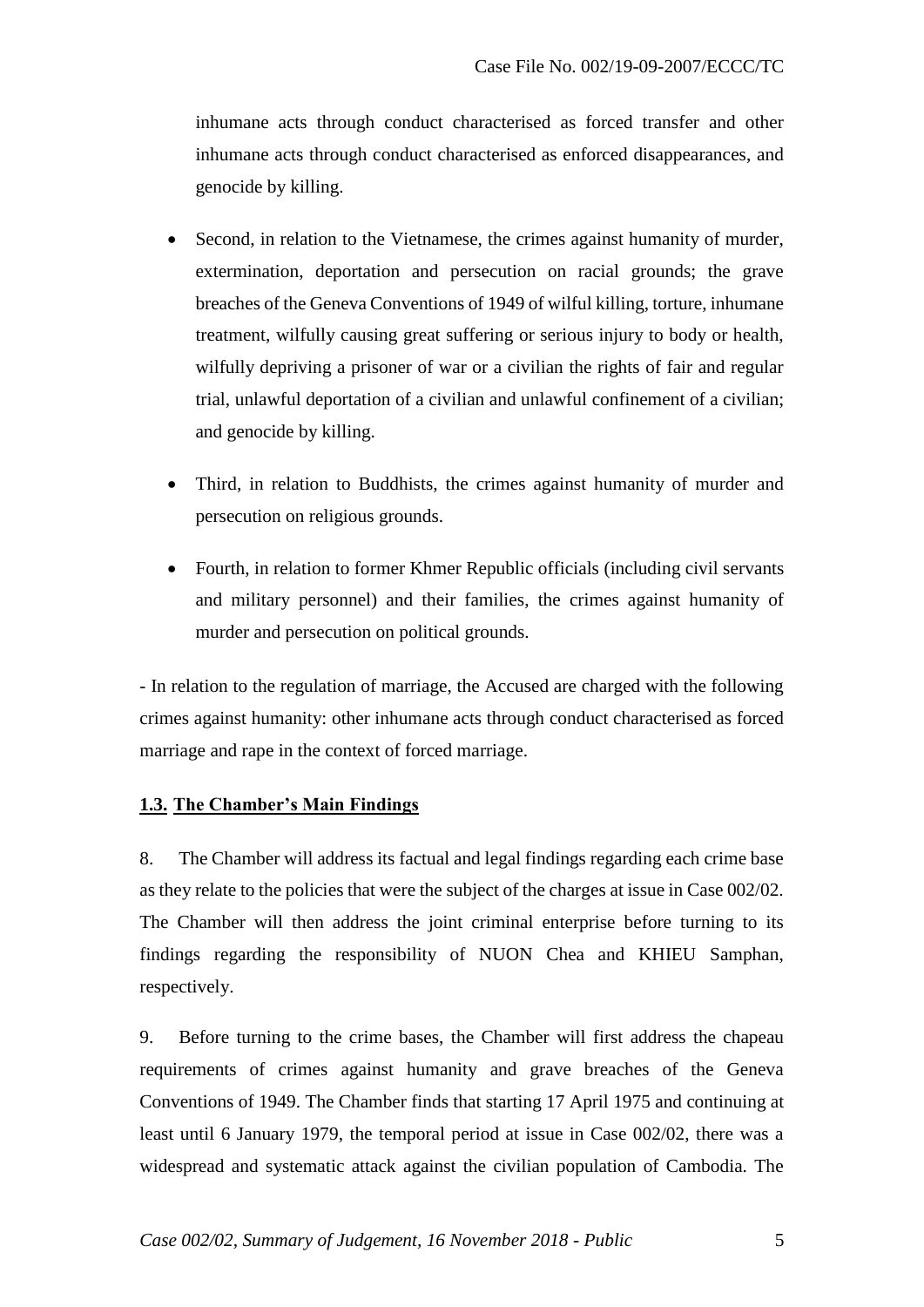inhumane acts through conduct characterised as forced transfer and other inhumane acts through conduct characterised as enforced disappearances, and genocide by killing.

- Second, in relation to the Vietnamese, the crimes against humanity of murder, extermination, deportation and persecution on racial grounds; the grave breaches of the Geneva Conventions of 1949 of wilful killing, torture, inhumane treatment, wilfully causing great suffering or serious injury to body or health, wilfully depriving a prisoner of war or a civilian the rights of fair and regular trial, unlawful deportation of a civilian and unlawful confinement of a civilian; and genocide by killing.
- Third, in relation to Buddhists, the crimes against humanity of murder and persecution on religious grounds.
- Fourth, in relation to former Khmer Republic officials (including civil servants and military personnel) and their families, the crimes against humanity of murder and persecution on political grounds.

- In relation to the regulation of marriage, the Accused are charged with the following crimes against humanity: other inhumane acts through conduct characterised as forced marriage and rape in the context of forced marriage.

## <span id="page-5-0"></span>**1.3. The Chamber's Main Findings**

8. The Chamber will address its factual and legal findings regarding each crime base as they relate to the policies that were the subject of the charges at issue in Case 002/02. The Chamber will then address the joint criminal enterprise before turning to its findings regarding the responsibility of NUON Chea and KHIEU Samphan, respectively.

9. Before turning to the crime bases, the Chamber will first address the chapeau requirements of crimes against humanity and grave breaches of the Geneva Conventions of 1949. The Chamber finds that starting 17 April 1975 and continuing at least until 6 January 1979, the temporal period at issue in Case 002/02, there was a widespread and systematic attack against the civilian population of Cambodia. The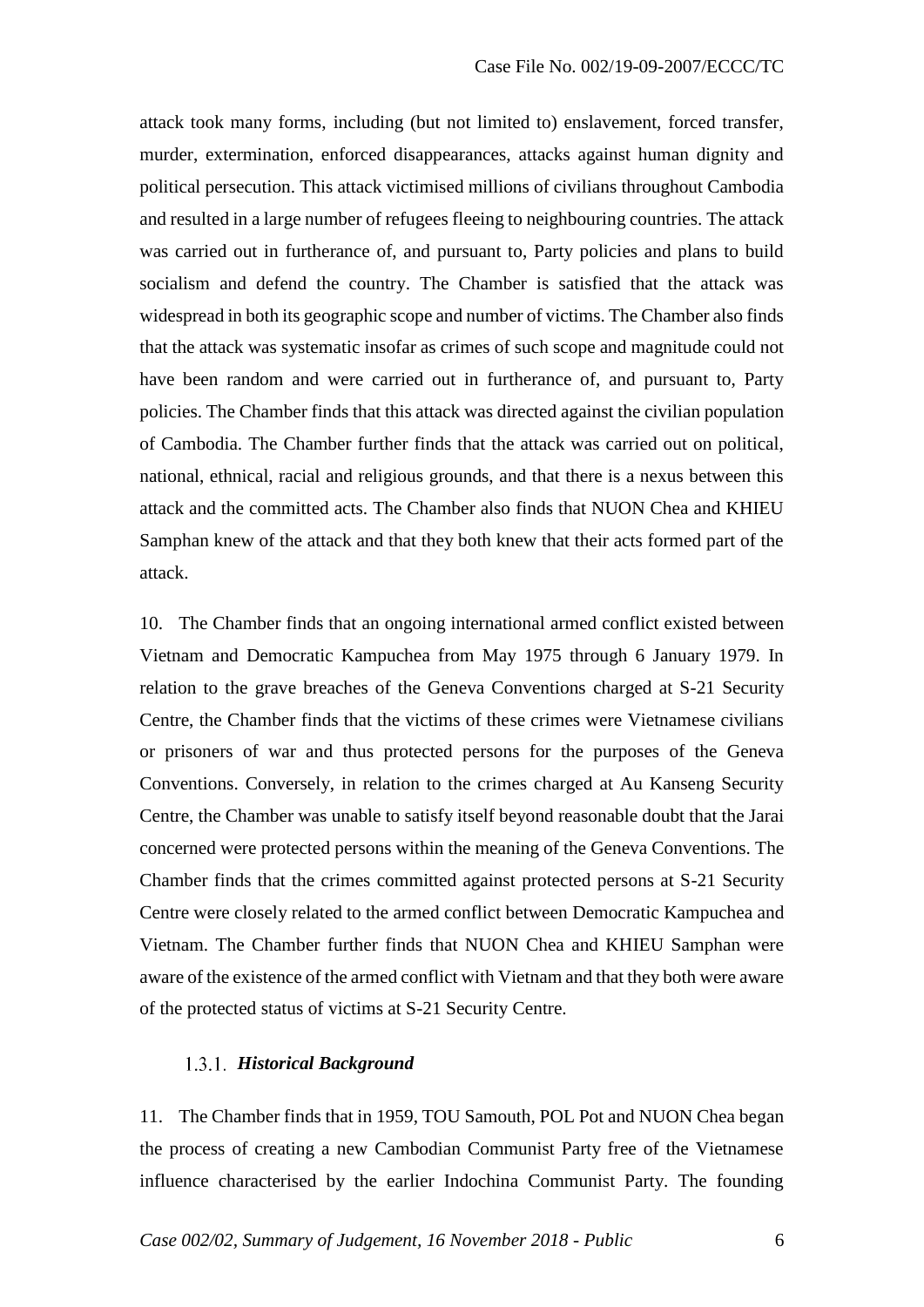attack took many forms, including (but not limited to) enslavement, forced transfer, murder, extermination, enforced disappearances, attacks against human dignity and political persecution. This attack victimised millions of civilians throughout Cambodia and resulted in a large number of refugees fleeing to neighbouring countries. The attack was carried out in furtherance of, and pursuant to, Party policies and plans to build socialism and defend the country. The Chamber is satisfied that the attack was widespread in both its geographic scope and number of victims. The Chamber also finds that the attack was systematic insofar as crimes of such scope and magnitude could not have been random and were carried out in furtherance of, and pursuant to, Party policies. The Chamber finds that this attack was directed against the civilian population of Cambodia. The Chamber further finds that the attack was carried out on political, national, ethnical, racial and religious grounds, and that there is a nexus between this attack and the committed acts. The Chamber also finds that NUON Chea and KHIEU Samphan knew of the attack and that they both knew that their acts formed part of the attack.

10. The Chamber finds that an ongoing international armed conflict existed between Vietnam and Democratic Kampuchea from May 1975 through 6 January 1979. In relation to the grave breaches of the Geneva Conventions charged at S-21 Security Centre, the Chamber finds that the victims of these crimes were Vietnamese civilians or prisoners of war and thus protected persons for the purposes of the Geneva Conventions. Conversely, in relation to the crimes charged at Au Kanseng Security Centre, the Chamber was unable to satisfy itself beyond reasonable doubt that the Jarai concerned were protected persons within the meaning of the Geneva Conventions. The Chamber finds that the crimes committed against protected persons at S-21 Security Centre were closely related to the armed conflict between Democratic Kampuchea and Vietnam. The Chamber further finds that NUON Chea and KHIEU Samphan were aware of the existence of the armed conflict with Vietnam and that they both were aware of the protected status of victims at S-21 Security Centre.

## <span id="page-6-0"></span>*Historical Background*

11. The Chamber finds that in 1959, TOU Samouth, POL Pot and NUON Chea began the process of creating a new Cambodian Communist Party free of the Vietnamese influence characterised by the earlier Indochina Communist Party. The founding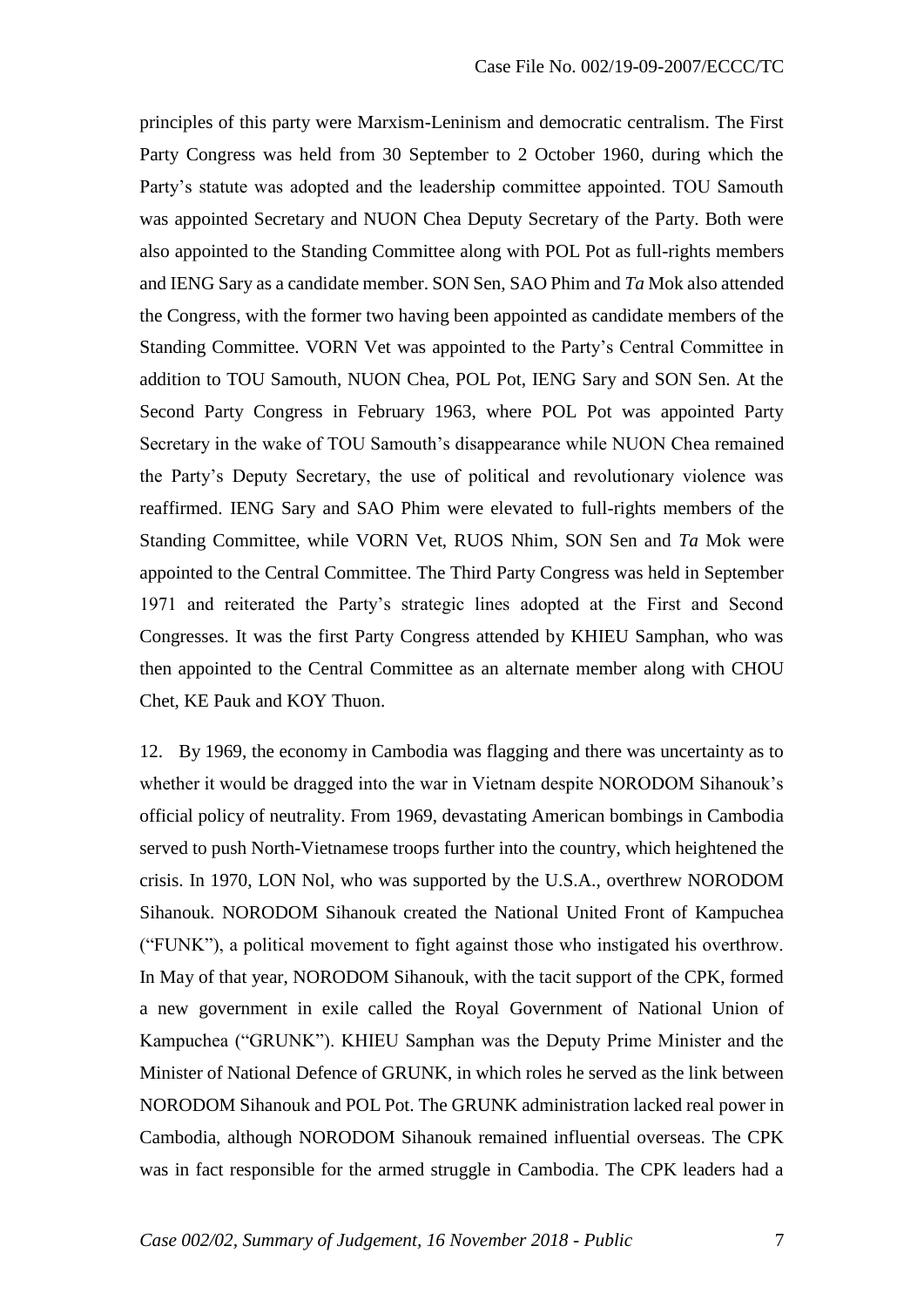principles of this party were Marxism-Leninism and democratic centralism. The First Party Congress was held from 30 September to 2 October 1960, during which the Party's statute was adopted and the leadership committee appointed. TOU Samouth was appointed Secretary and NUON Chea Deputy Secretary of the Party. Both were also appointed to the Standing Committee along with POL Pot as full-rights members and IENG Sary as a candidate member. SON Sen, SAO Phim and *Ta* Mok also attended the Congress, with the former two having been appointed as candidate members of the Standing Committee. VORN Vet was appointed to the Party's Central Committee in addition to TOU Samouth, NUON Chea, POL Pot, IENG Sary and SON Sen. At the Second Party Congress in February 1963, where POL Pot was appointed Party Secretary in the wake of TOU Samouth's disappearance while NUON Chea remained the Party's Deputy Secretary, the use of political and revolutionary violence was reaffirmed. IENG Sary and SAO Phim were elevated to full-rights members of the Standing Committee, while VORN Vet, RUOS Nhim, SON Sen and *Ta* Mok were appointed to the Central Committee. The Third Party Congress was held in September 1971 and reiterated the Party's strategic lines adopted at the First and Second Congresses. It was the first Party Congress attended by KHIEU Samphan, who was then appointed to the Central Committee as an alternate member along with CHOU Chet, KE Pauk and KOY Thuon.

12. By 1969, the economy in Cambodia was flagging and there was uncertainty as to whether it would be dragged into the war in Vietnam despite NORODOM Sihanouk's official policy of neutrality. From 1969, devastating American bombings in Cambodia served to push North-Vietnamese troops further into the country, which heightened the crisis. In 1970, LON Nol, who was supported by the U.S.A., overthrew NORODOM Sihanouk. NORODOM Sihanouk created the National United Front of Kampuchea ("FUNK"), a political movement to fight against those who instigated his overthrow. In May of that year, NORODOM Sihanouk, with the tacit support of the CPK, formed a new government in exile called the Royal Government of National Union of Kampuchea ("GRUNK"). KHIEU Samphan was the Deputy Prime Minister and the Minister of National Defence of GRUNK, in which roles he served as the link between NORODOM Sihanouk and POL Pot. The GRUNK administration lacked real power in Cambodia, although NORODOM Sihanouk remained influential overseas. The CPK was in fact responsible for the armed struggle in Cambodia. The CPK leaders had a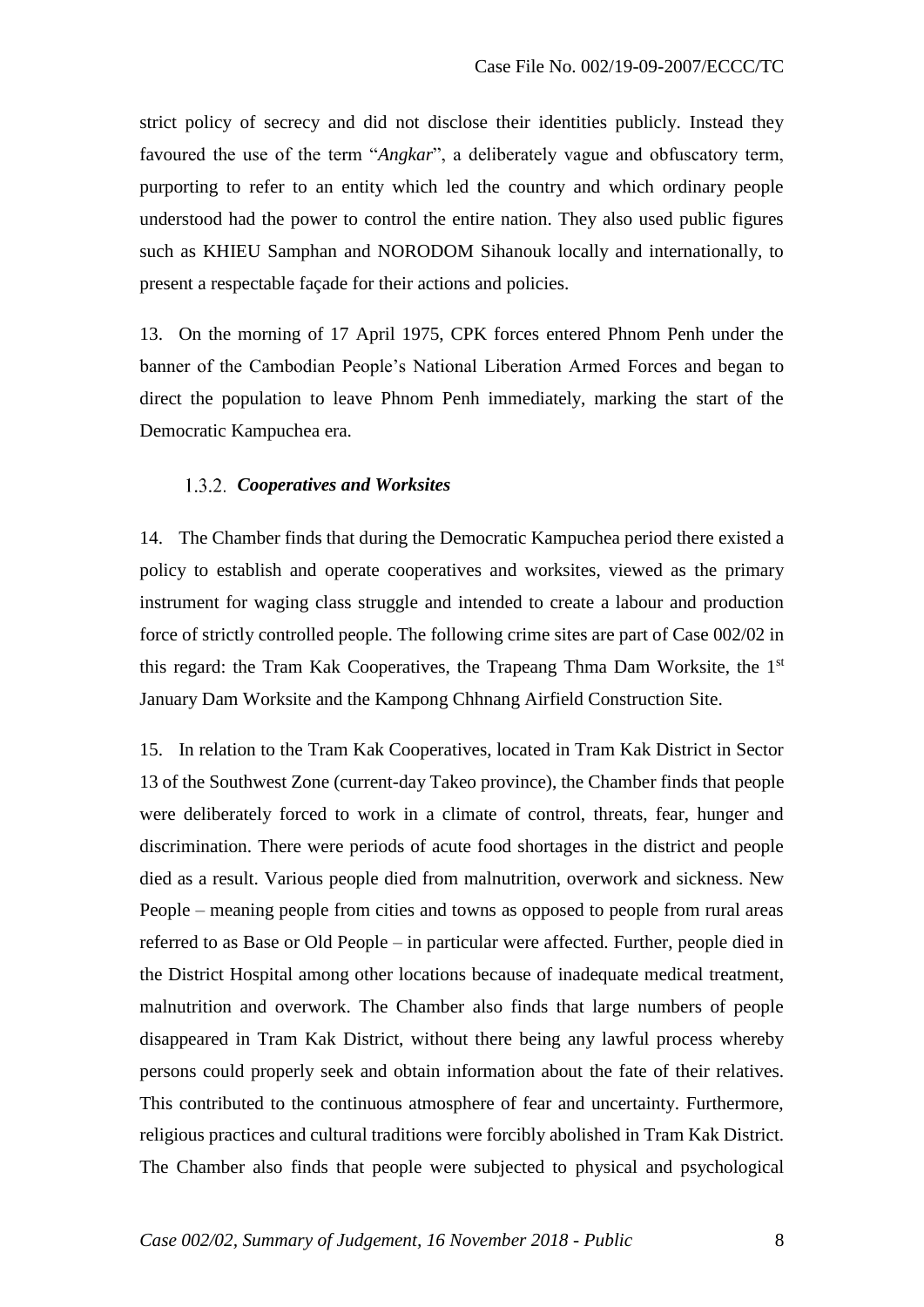strict policy of secrecy and did not disclose their identities publicly. Instead they favoured the use of the term "*Angkar*", a deliberately vague and obfuscatory term, purporting to refer to an entity which led the country and which ordinary people understood had the power to control the entire nation. They also used public figures such as KHIEU Samphan and NORODOM Sihanouk locally and internationally, to present a respectable façade for their actions and policies.

13. On the morning of 17 April 1975, CPK forces entered Phnom Penh under the banner of the Cambodian People's National Liberation Armed Forces and began to direct the population to leave Phnom Penh immediately, marking the start of the Democratic Kampuchea era.

## <span id="page-8-0"></span>*Cooperatives and Worksites*

14. The Chamber finds that during the Democratic Kampuchea period there existed a policy to establish and operate cooperatives and worksites, viewed as the primary instrument for waging class struggle and intended to create a labour and production force of strictly controlled people. The following crime sites are part of Case 002/02 in this regard: the Tram Kak Cooperatives, the Trapeang Thma Dam Worksite, the 1st January Dam Worksite and the Kampong Chhnang Airfield Construction Site.

15. In relation to the Tram Kak Cooperatives, located in Tram Kak District in Sector 13 of the Southwest Zone (current-day Takeo province), the Chamber finds that people were deliberately forced to work in a climate of control, threats, fear, hunger and discrimination. There were periods of acute food shortages in the district and people died as a result. Various people died from malnutrition, overwork and sickness. New People – meaning people from cities and towns as opposed to people from rural areas referred to as Base or Old People – in particular were affected. Further, people died in the District Hospital among other locations because of inadequate medical treatment, malnutrition and overwork. The Chamber also finds that large numbers of people disappeared in Tram Kak District, without there being any lawful process whereby persons could properly seek and obtain information about the fate of their relatives. This contributed to the continuous atmosphere of fear and uncertainty. Furthermore, religious practices and cultural traditions were forcibly abolished in Tram Kak District. The Chamber also finds that people were subjected to physical and psychological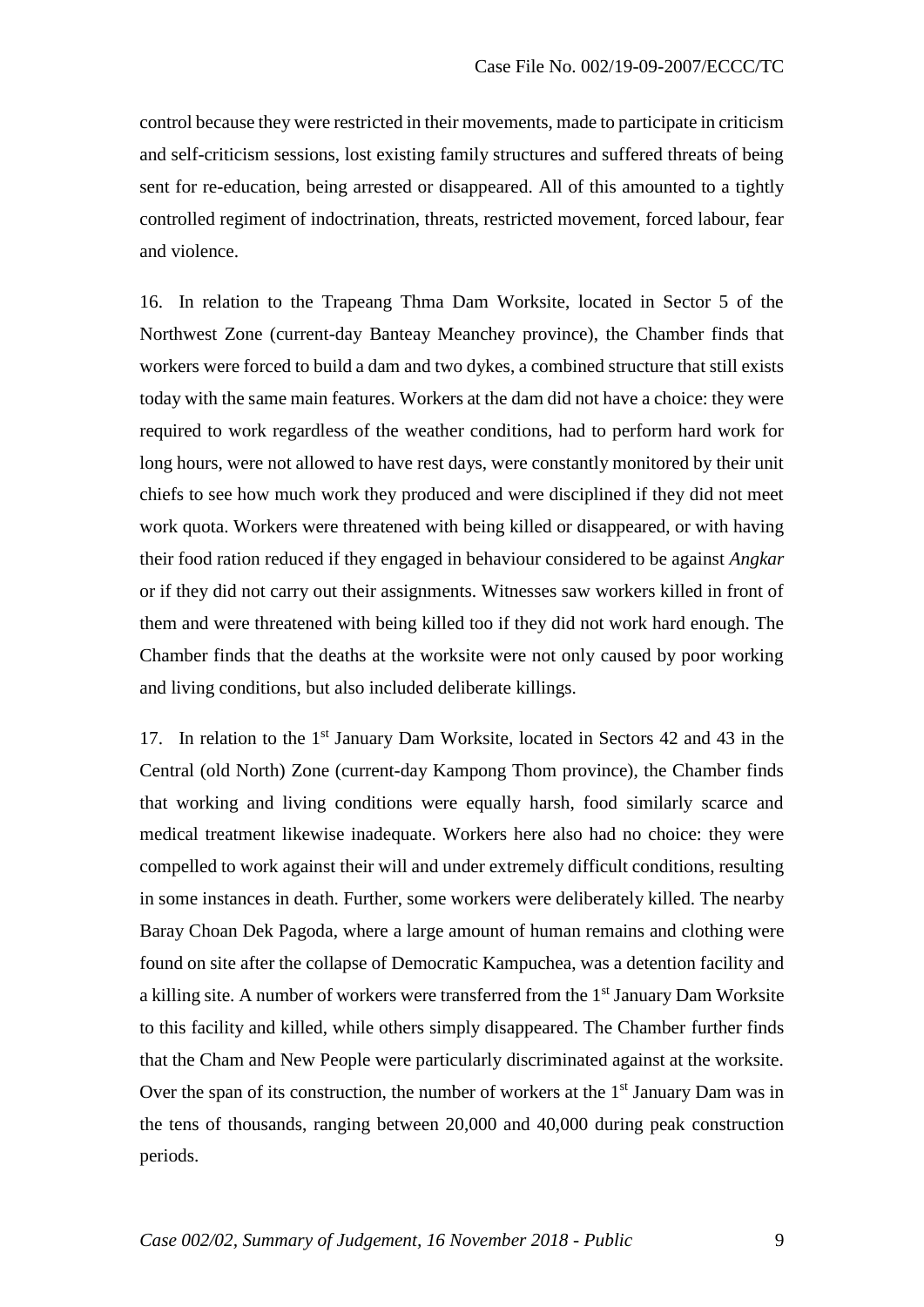control because they were restricted in their movements, made to participate in criticism and self-criticism sessions, lost existing family structures and suffered threats of being sent for re-education, being arrested or disappeared. All of this amounted to a tightly controlled regiment of indoctrination, threats, restricted movement, forced labour, fear and violence.

16. In relation to the Trapeang Thma Dam Worksite, located in Sector 5 of the Northwest Zone (current-day Banteay Meanchey province), the Chamber finds that workers were forced to build a dam and two dykes, a combined structure that still exists today with the same main features. Workers at the dam did not have a choice: they were required to work regardless of the weather conditions, had to perform hard work for long hours, were not allowed to have rest days, were constantly monitored by their unit chiefs to see how much work they produced and were disciplined if they did not meet work quota. Workers were threatened with being killed or disappeared, or with having their food ration reduced if they engaged in behaviour considered to be against *Angkar* or if they did not carry out their assignments. Witnesses saw workers killed in front of them and were threatened with being killed too if they did not work hard enough. The Chamber finds that the deaths at the worksite were not only caused by poor working and living conditions, but also included deliberate killings.

17. In relation to the 1<sup>st</sup> January Dam Worksite, located in Sectors 42 and 43 in the Central (old North) Zone (current-day Kampong Thom province), the Chamber finds that working and living conditions were equally harsh, food similarly scarce and medical treatment likewise inadequate. Workers here also had no choice: they were compelled to work against their will and under extremely difficult conditions, resulting in some instances in death. Further, some workers were deliberately killed. The nearby Baray Choan Dek Pagoda, where a large amount of human remains and clothing were found on site after the collapse of Democratic Kampuchea, was a detention facility and a killing site. A number of workers were transferred from the 1<sup>st</sup> January Dam Worksite to this facility and killed, while others simply disappeared. The Chamber further finds that the Cham and New People were particularly discriminated against at the worksite. Over the span of its construction, the number of workers at the 1<sup>st</sup> January Dam was in the tens of thousands, ranging between 20,000 and 40,000 during peak construction periods.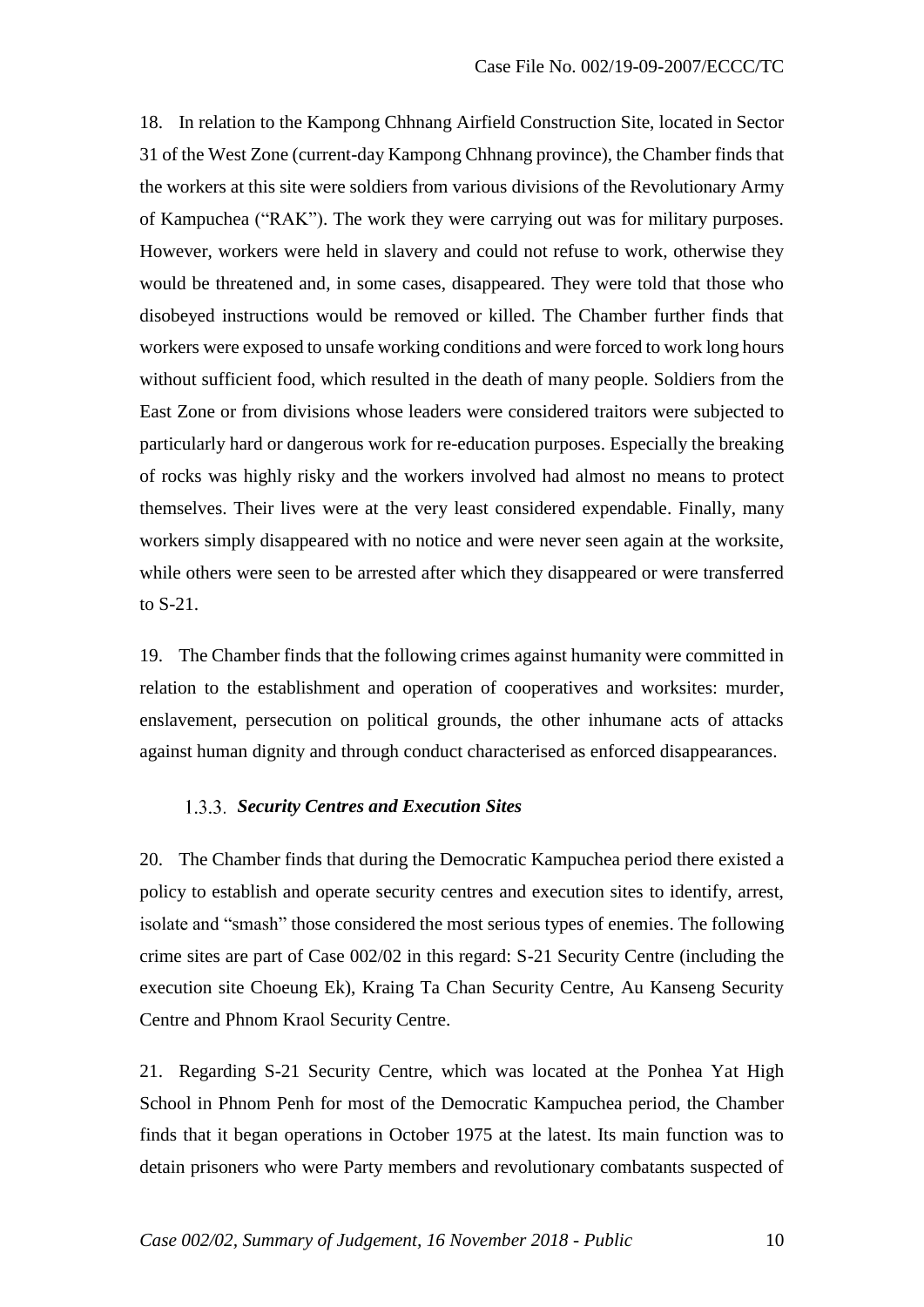18. In relation to the Kampong Chhnang Airfield Construction Site, located in Sector 31 of the West Zone (current-day Kampong Chhnang province), the Chamber finds that the workers at this site were soldiers from various divisions of the Revolutionary Army of Kampuchea ("RAK"). The work they were carrying out was for military purposes. However, workers were held in slavery and could not refuse to work, otherwise they would be threatened and, in some cases, disappeared. They were told that those who disobeyed instructions would be removed or killed. The Chamber further finds that workers were exposed to unsafe working conditions and were forced to work long hours without sufficient food, which resulted in the death of many people. Soldiers from the East Zone or from divisions whose leaders were considered traitors were subjected to particularly hard or dangerous work for re-education purposes. Especially the breaking of rocks was highly risky and the workers involved had almost no means to protect themselves. Their lives were at the very least considered expendable. Finally, many workers simply disappeared with no notice and were never seen again at the worksite, while others were seen to be arrested after which they disappeared or were transferred to S-21.

19. The Chamber finds that the following crimes against humanity were committed in relation to the establishment and operation of cooperatives and worksites: murder, enslavement, persecution on political grounds, the other inhumane acts of attacks against human dignity and through conduct characterised as enforced disappearances.

## <span id="page-10-0"></span>*Security Centres and Execution Sites*

20. The Chamber finds that during the Democratic Kampuchea period there existed a policy to establish and operate security centres and execution sites to identify, arrest, isolate and "smash" those considered the most serious types of enemies. The following crime sites are part of Case 002/02 in this regard: S-21 Security Centre (including the execution site Choeung Ek), Kraing Ta Chan Security Centre, Au Kanseng Security Centre and Phnom Kraol Security Centre.

21. Regarding S-21 Security Centre, which was located at the Ponhea Yat High School in Phnom Penh for most of the Democratic Kampuchea period, the Chamber finds that it began operations in October 1975 at the latest. Its main function was to detain prisoners who were Party members and revolutionary combatants suspected of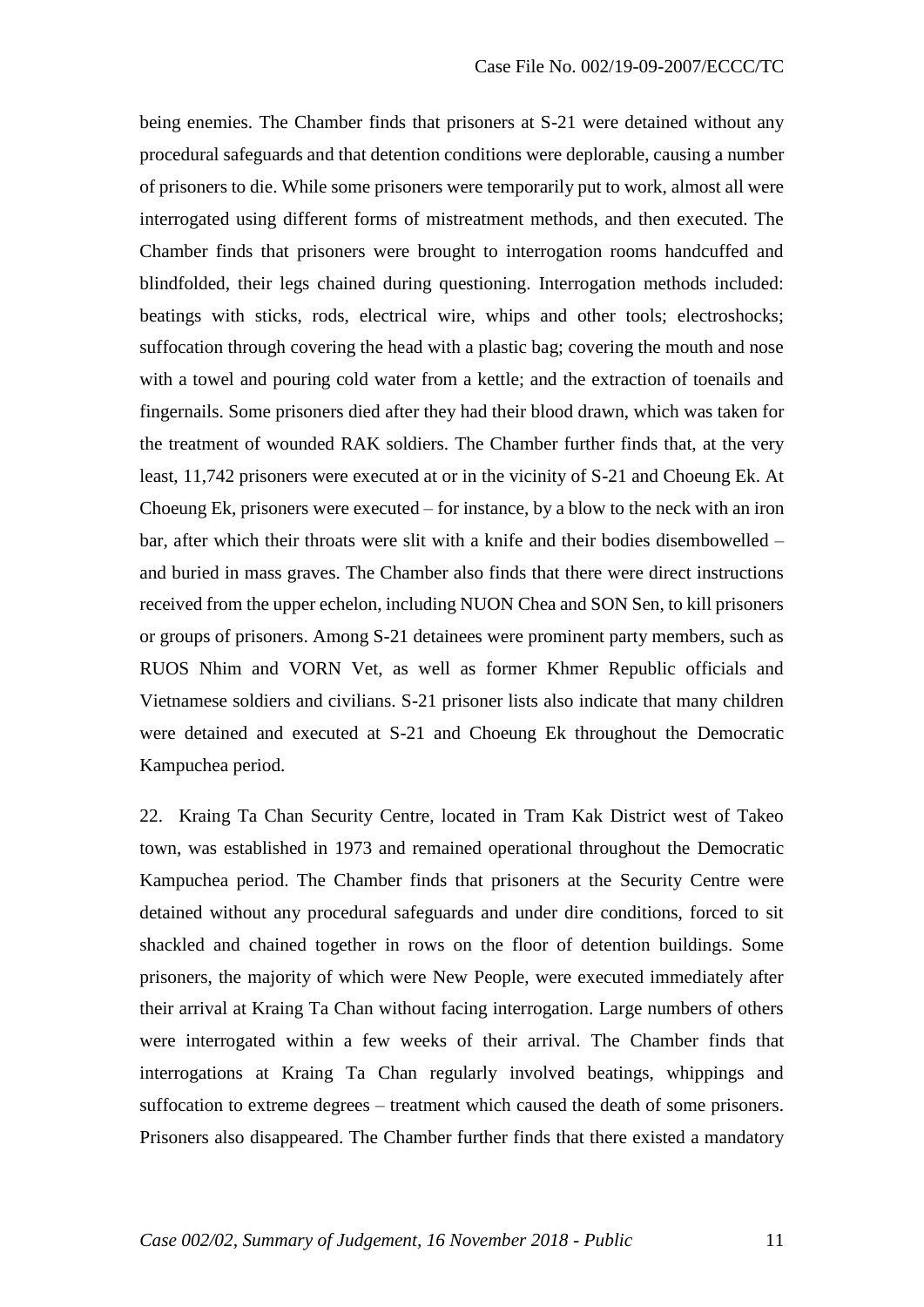being enemies. The Chamber finds that prisoners at S-21 were detained without any procedural safeguards and that detention conditions were deplorable, causing a number of prisoners to die. While some prisoners were temporarily put to work, almost all were interrogated using different forms of mistreatment methods, and then executed. The Chamber finds that prisoners were brought to interrogation rooms handcuffed and blindfolded, their legs chained during questioning. Interrogation methods included: beatings with sticks, rods, electrical wire, whips and other tools; electroshocks; suffocation through covering the head with a plastic bag; covering the mouth and nose with a towel and pouring cold water from a kettle; and the extraction of toenails and fingernails. Some prisoners died after they had their blood drawn, which was taken for the treatment of wounded RAK soldiers. The Chamber further finds that, at the very least, 11,742 prisoners were executed at or in the vicinity of S-21 and Choeung Ek. At Choeung Ek, prisoners were executed – for instance, by a blow to the neck with an iron bar, after which their throats were slit with a knife and their bodies disembowelled – and buried in mass graves. The Chamber also finds that there were direct instructions received from the upper echelon, including NUON Chea and SON Sen, to kill prisoners or groups of prisoners. Among S-21 detainees were prominent party members, such as RUOS Nhim and VORN Vet, as well as former Khmer Republic officials and Vietnamese soldiers and civilians. S-21 prisoner lists also indicate that many children were detained and executed at S-21 and Choeung Ek throughout the Democratic Kampuchea period.

22. Kraing Ta Chan Security Centre, located in Tram Kak District west of Takeo town, was established in 1973 and remained operational throughout the Democratic Kampuchea period. The Chamber finds that prisoners at the Security Centre were detained without any procedural safeguards and under dire conditions, forced to sit shackled and chained together in rows on the floor of detention buildings. Some prisoners, the majority of which were New People, were executed immediately after their arrival at Kraing Ta Chan without facing interrogation. Large numbers of others were interrogated within a few weeks of their arrival. The Chamber finds that interrogations at Kraing Ta Chan regularly involved beatings, whippings and suffocation to extreme degrees – treatment which caused the death of some prisoners. Prisoners also disappeared. The Chamber further finds that there existed a mandatory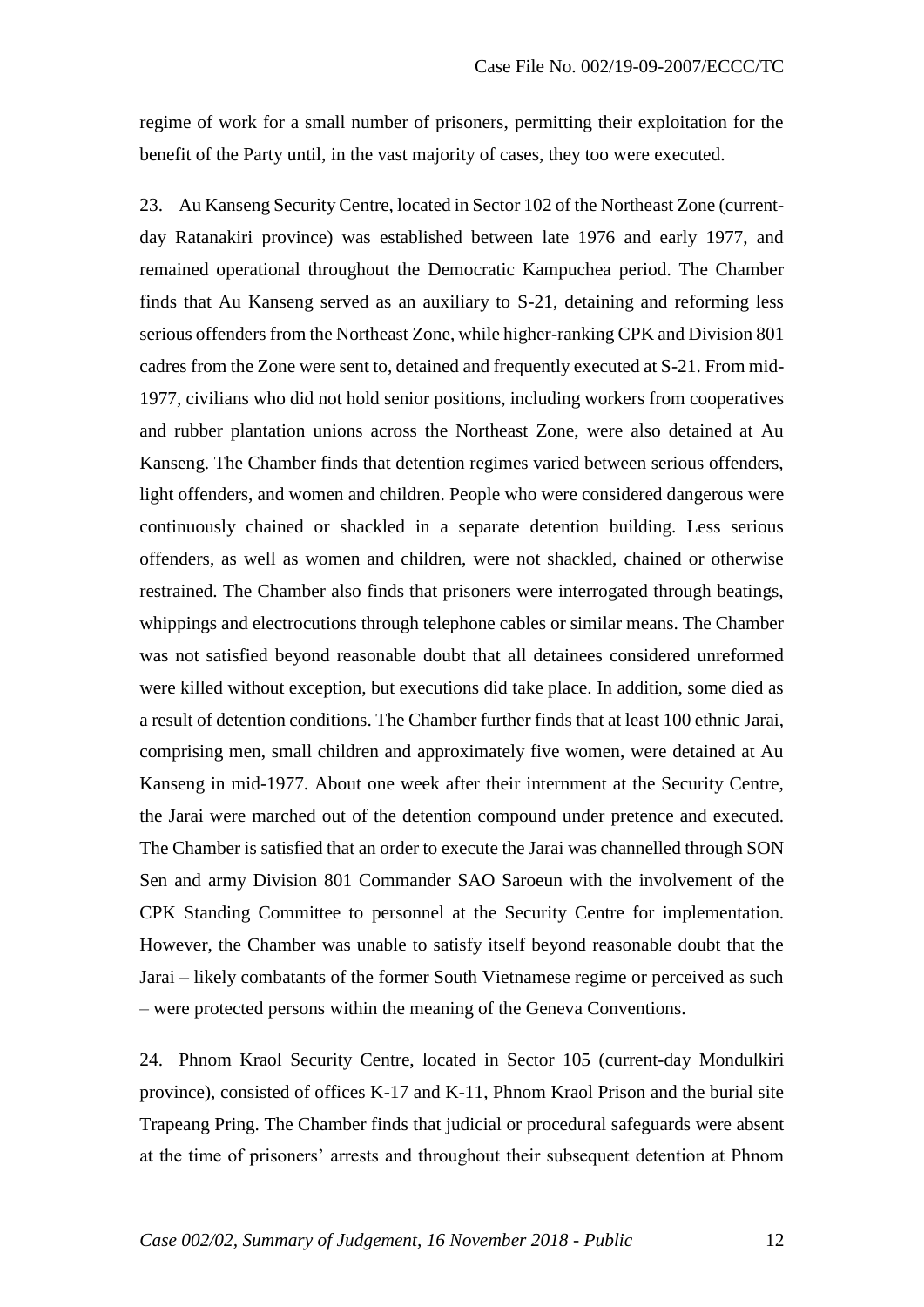regime of work for a small number of prisoners, permitting their exploitation for the benefit of the Party until, in the vast majority of cases, they too were executed.

23. Au Kanseng Security Centre, located in Sector 102 of the Northeast Zone (currentday Ratanakiri province) was established between late 1976 and early 1977, and remained operational throughout the Democratic Kampuchea period. The Chamber finds that Au Kanseng served as an auxiliary to S-21, detaining and reforming less serious offenders from the Northeast Zone, while higher-ranking CPK and Division 801 cadres from the Zone were sent to, detained and frequently executed at S-21. From mid-1977, civilians who did not hold senior positions, including workers from cooperatives and rubber plantation unions across the Northeast Zone, were also detained at Au Kanseng. The Chamber finds that detention regimes varied between serious offenders, light offenders, and women and children. People who were considered dangerous were continuously chained or shackled in a separate detention building. Less serious offenders, as well as women and children, were not shackled, chained or otherwise restrained. The Chamber also finds that prisoners were interrogated through beatings, whippings and electrocutions through telephone cables or similar means. The Chamber was not satisfied beyond reasonable doubt that all detainees considered unreformed were killed without exception, but executions did take place. In addition, some died as a result of detention conditions. The Chamber further finds that at least 100 ethnic Jarai, comprising men, small children and approximately five women, were detained at Au Kanseng in mid-1977. About one week after their internment at the Security Centre, the Jarai were marched out of the detention compound under pretence and executed. The Chamber is satisfied that an order to execute the Jarai was channelled through SON Sen and army Division 801 Commander SAO Saroeun with the involvement of the CPK Standing Committee to personnel at the Security Centre for implementation. However, the Chamber was unable to satisfy itself beyond reasonable doubt that the Jarai – likely combatants of the former South Vietnamese regime or perceived as such – were protected persons within the meaning of the Geneva Conventions.

24. Phnom Kraol Security Centre, located in Sector 105 (current-day Mondulkiri province), consisted of offices K-17 and K-11, Phnom Kraol Prison and the burial site Trapeang Pring. The Chamber finds that judicial or procedural safeguards were absent at the time of prisoners' arrests and throughout their subsequent detention at Phnom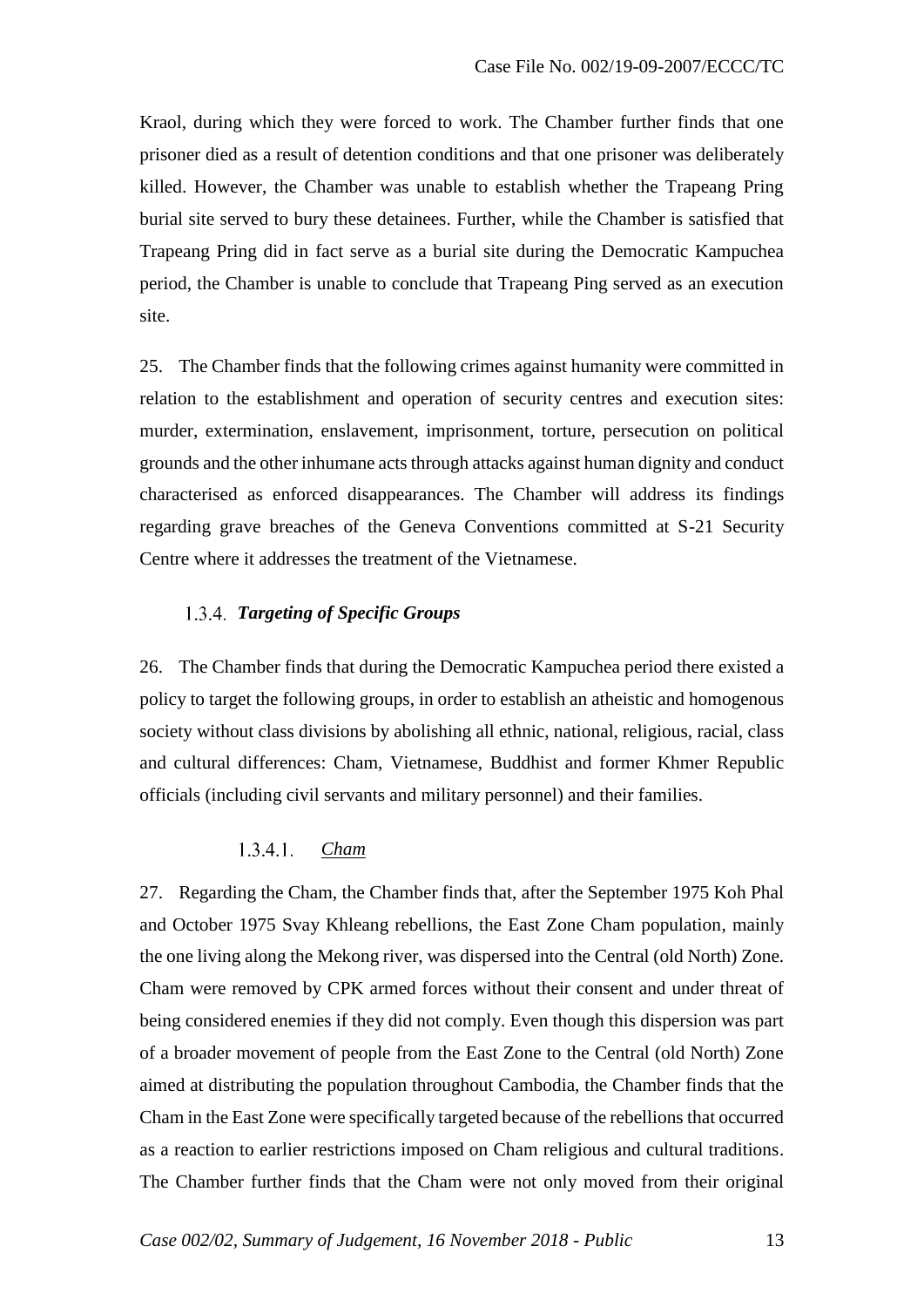Kraol, during which they were forced to work. The Chamber further finds that one prisoner died as a result of detention conditions and that one prisoner was deliberately killed. However, the Chamber was unable to establish whether the Trapeang Pring burial site served to bury these detainees. Further, while the Chamber is satisfied that Trapeang Pring did in fact serve as a burial site during the Democratic Kampuchea period, the Chamber is unable to conclude that Trapeang Ping served as an execution site.

25. The Chamber finds that the following crimes against humanity were committed in relation to the establishment and operation of security centres and execution sites: murder, extermination, enslavement, imprisonment, torture, persecution on political grounds and the other inhumane acts through attacks against human dignity and conduct characterised as enforced disappearances. The Chamber will address its findings regarding grave breaches of the Geneva Conventions committed at S-21 Security Centre where it addresses the treatment of the Vietnamese.

## <span id="page-13-0"></span>*Targeting of Specific Groups*

26. The Chamber finds that during the Democratic Kampuchea period there existed a policy to target the following groups, in order to establish an atheistic and homogenous society without class divisions by abolishing all ethnic, national, religious, racial, class and cultural differences: Cham, Vietnamese, Buddhist and former Khmer Republic officials (including civil servants and military personnel) and their families.

#### $1.3.4.1.$ *Cham*

<span id="page-13-1"></span>27. Regarding the Cham, the Chamber finds that, after the September 1975 Koh Phal and October 1975 Svay Khleang rebellions, the East Zone Cham population, mainly the one living along the Mekong river, was dispersed into the Central (old North) Zone. Cham were removed by CPK armed forces without their consent and under threat of being considered enemies if they did not comply. Even though this dispersion was part of a broader movement of people from the East Zone to the Central (old North) Zone aimed at distributing the population throughout Cambodia, the Chamber finds that the Cham in the East Zone were specifically targeted because of the rebellions that occurred as a reaction to earlier restrictions imposed on Cham religious and cultural traditions. The Chamber further finds that the Cham were not only moved from their original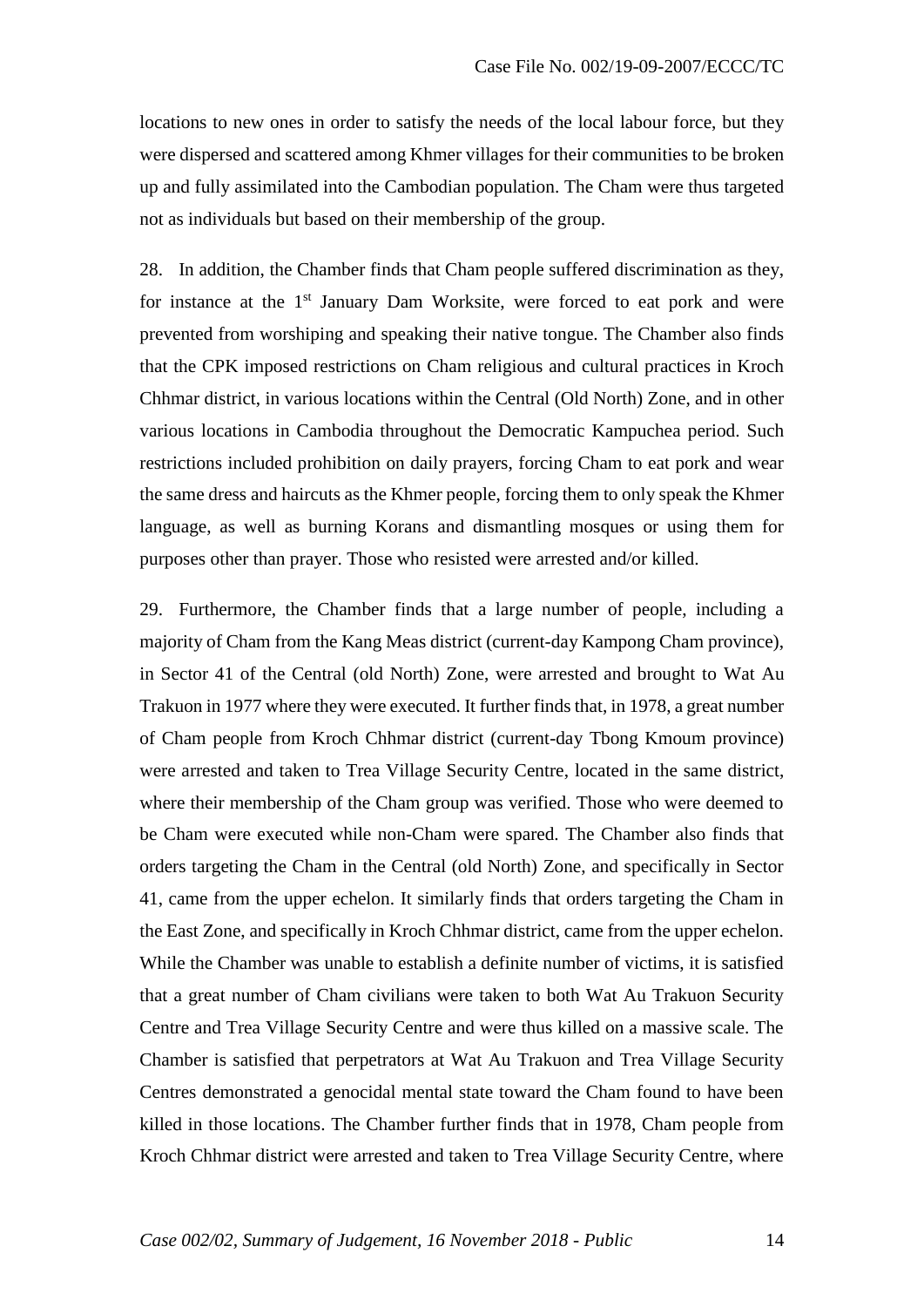locations to new ones in order to satisfy the needs of the local labour force, but they were dispersed and scattered among Khmer villages for their communities to be broken up and fully assimilated into the Cambodian population. The Cham were thus targeted not as individuals but based on their membership of the group.

28. In addition, the Chamber finds that Cham people suffered discrimination as they, for instance at the 1<sup>st</sup> January Dam Worksite, were forced to eat pork and were prevented from worshiping and speaking their native tongue. The Chamber also finds that the CPK imposed restrictions on Cham religious and cultural practices in Kroch Chhmar district, in various locations within the Central (Old North) Zone, and in other various locations in Cambodia throughout the Democratic Kampuchea period. Such restrictions included prohibition on daily prayers, forcing Cham to eat pork and wear the same dress and haircuts as the Khmer people, forcing them to only speak the Khmer language, as well as burning Korans and dismantling mosques or using them for purposes other than prayer. Those who resisted were arrested and/or killed.

29. Furthermore, the Chamber finds that a large number of people, including a majority of Cham from the Kang Meas district (current-day Kampong Cham province), in Sector 41 of the Central (old North) Zone, were arrested and brought to Wat Au Trakuon in 1977 where they were executed. It further finds that, in 1978, a great number of Cham people from Kroch Chhmar district (current-day Tbong Kmoum province) were arrested and taken to Trea Village Security Centre, located in the same district, where their membership of the Cham group was verified. Those who were deemed to be Cham were executed while non-Cham were spared. The Chamber also finds that orders targeting the Cham in the Central (old North) Zone, and specifically in Sector 41, came from the upper echelon. It similarly finds that orders targeting the Cham in the East Zone, and specifically in Kroch Chhmar district, came from the upper echelon. While the Chamber was unable to establish a definite number of victims, it is satisfied that a great number of Cham civilians were taken to both Wat Au Trakuon Security Centre and Trea Village Security Centre and were thus killed on a massive scale. The Chamber is satisfied that perpetrators at Wat Au Trakuon and Trea Village Security Centres demonstrated a genocidal mental state toward the Cham found to have been killed in those locations. The Chamber further finds that in 1978, Cham people from Kroch Chhmar district were arrested and taken to Trea Village Security Centre, where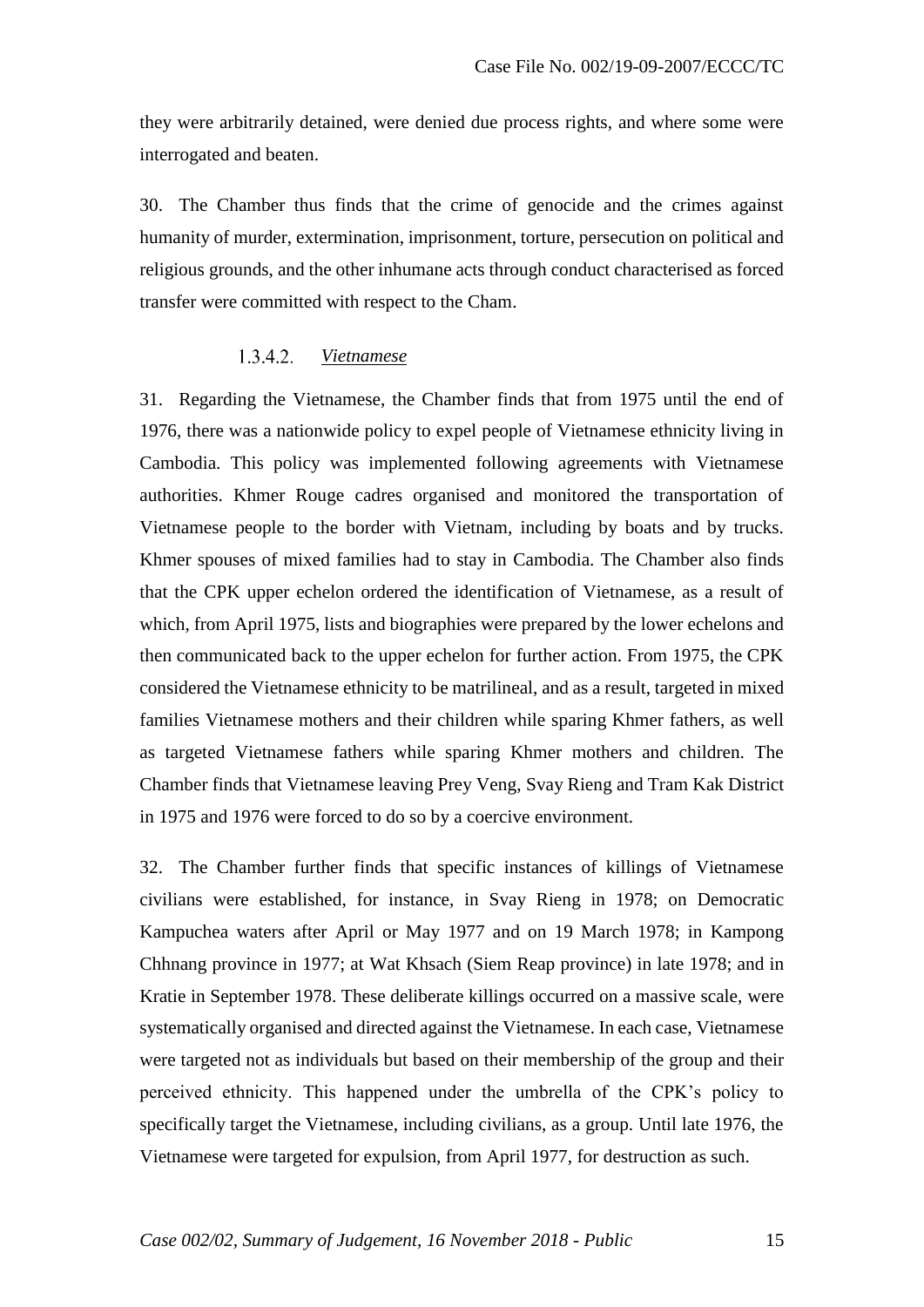they were arbitrarily detained, were denied due process rights, and where some were interrogated and beaten.

30. The Chamber thus finds that the crime of genocide and the crimes against humanity of murder, extermination, imprisonment, torture, persecution on political and religious grounds, and the other inhumane acts through conduct characterised as forced transfer were committed with respect to the Cham.

#### $1.3.4.2.$ *Vietnamese*

<span id="page-15-0"></span>31. Regarding the Vietnamese, the Chamber finds that from 1975 until the end of 1976, there was a nationwide policy to expel people of Vietnamese ethnicity living in Cambodia. This policy was implemented following agreements with Vietnamese authorities. Khmer Rouge cadres organised and monitored the transportation of Vietnamese people to the border with Vietnam, including by boats and by trucks. Khmer spouses of mixed families had to stay in Cambodia. The Chamber also finds that the CPK upper echelon ordered the identification of Vietnamese, as a result of which, from April 1975, lists and biographies were prepared by the lower echelons and then communicated back to the upper echelon for further action. From 1975, the CPK considered the Vietnamese ethnicity to be matrilineal, and as a result, targeted in mixed families Vietnamese mothers and their children while sparing Khmer fathers, as well as targeted Vietnamese fathers while sparing Khmer mothers and children. The Chamber finds that Vietnamese leaving Prey Veng, Svay Rieng and Tram Kak District in 1975 and 1976 were forced to do so by a coercive environment.

32. The Chamber further finds that specific instances of killings of Vietnamese civilians were established, for instance, in Svay Rieng in 1978; on Democratic Kampuchea waters after April or May 1977 and on 19 March 1978; in Kampong Chhnang province in 1977; at Wat Khsach (Siem Reap province) in late 1978; and in Kratie in September 1978. These deliberate killings occurred on a massive scale, were systematically organised and directed against the Vietnamese. In each case, Vietnamese were targeted not as individuals but based on their membership of the group and their perceived ethnicity. This happened under the umbrella of the CPK's policy to specifically target the Vietnamese, including civilians, as a group. Until late 1976, the Vietnamese were targeted for expulsion, from April 1977, for destruction as such.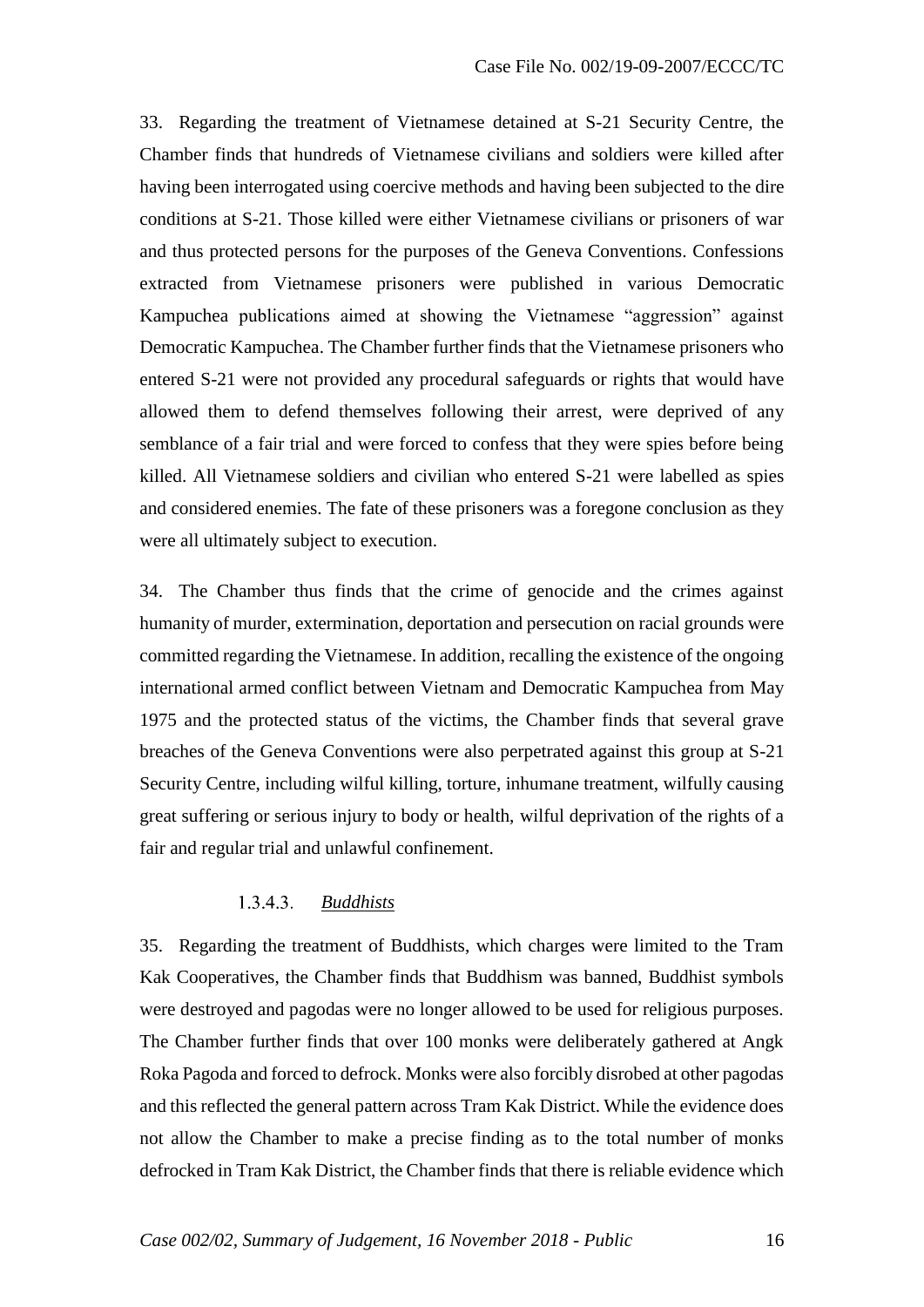33. Regarding the treatment of Vietnamese detained at S-21 Security Centre, the Chamber finds that hundreds of Vietnamese civilians and soldiers were killed after having been interrogated using coercive methods and having been subjected to the dire conditions at S-21. Those killed were either Vietnamese civilians or prisoners of war and thus protected persons for the purposes of the Geneva Conventions. Confessions extracted from Vietnamese prisoners were published in various Democratic Kampuchea publications aimed at showing the Vietnamese "aggression" against Democratic Kampuchea. The Chamber further finds that the Vietnamese prisoners who entered S-21 were not provided any procedural safeguards or rights that would have allowed them to defend themselves following their arrest, were deprived of any semblance of a fair trial and were forced to confess that they were spies before being killed. All Vietnamese soldiers and civilian who entered S-21 were labelled as spies and considered enemies. The fate of these prisoners was a foregone conclusion as they were all ultimately subject to execution.

34. The Chamber thus finds that the crime of genocide and the crimes against humanity of murder, extermination, deportation and persecution on racial grounds were committed regarding the Vietnamese. In addition, recalling the existence of the ongoing international armed conflict between Vietnam and Democratic Kampuchea from May 1975 and the protected status of the victims, the Chamber finds that several grave breaches of the Geneva Conventions were also perpetrated against this group at S-21 Security Centre, including wilful killing, torture, inhumane treatment, wilfully causing great suffering or serious injury to body or health, wilful deprivation of the rights of a fair and regular trial and unlawful confinement.

#### $1.3.4.3.$ *Buddhists*

<span id="page-16-0"></span>35. Regarding the treatment of Buddhists, which charges were limited to the Tram Kak Cooperatives, the Chamber finds that Buddhism was banned, Buddhist symbols were destroyed and pagodas were no longer allowed to be used for religious purposes. The Chamber further finds that over 100 monks were deliberately gathered at Angk Roka Pagoda and forced to defrock. Monks were also forcibly disrobed at other pagodas and this reflected the general pattern across Tram Kak District. While the evidence does not allow the Chamber to make a precise finding as to the total number of monks defrocked in Tram Kak District, the Chamber finds that there is reliable evidence which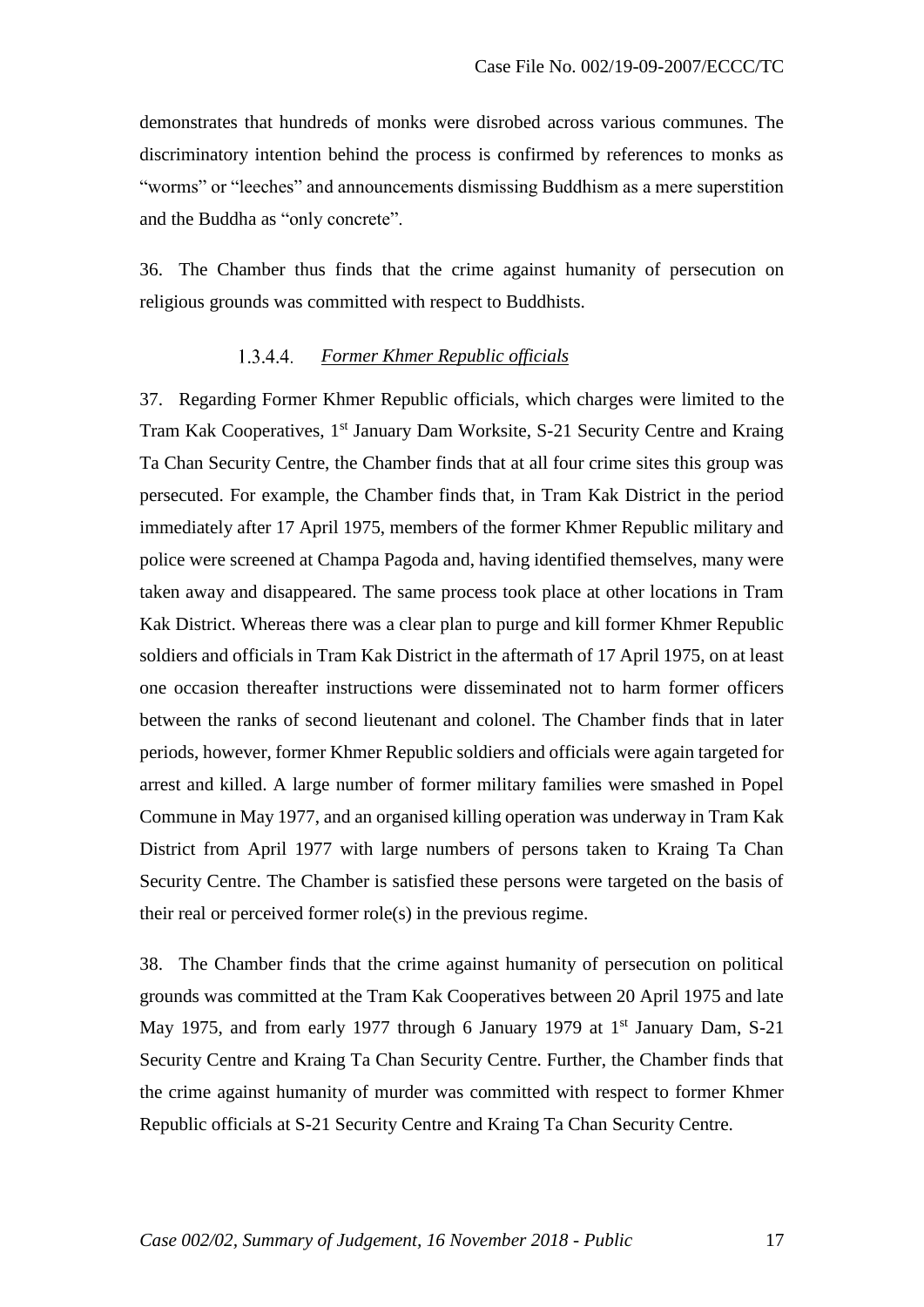demonstrates that hundreds of monks were disrobed across various communes. The discriminatory intention behind the process is confirmed by references to monks as "worms" or "leeches" and announcements dismissing Buddhism as a mere superstition and the Buddha as "only concrete".

36. The Chamber thus finds that the crime against humanity of persecution on religious grounds was committed with respect to Buddhists.

#### $1.3.4.4.$ *Former Khmer Republic officials*

<span id="page-17-0"></span>37. Regarding Former Khmer Republic officials, which charges were limited to the Tram Kak Cooperatives, 1<sup>st</sup> January Dam Worksite, S-21 Security Centre and Kraing Ta Chan Security Centre, the Chamber finds that at all four crime sites this group was persecuted. For example, the Chamber finds that, in Tram Kak District in the period immediately after 17 April 1975, members of the former Khmer Republic military and police were screened at Champa Pagoda and, having identified themselves, many were taken away and disappeared. The same process took place at other locations in Tram Kak District. Whereas there was a clear plan to purge and kill former Khmer Republic soldiers and officials in Tram Kak District in the aftermath of 17 April 1975, on at least one occasion thereafter instructions were disseminated not to harm former officers between the ranks of second lieutenant and colonel. The Chamber finds that in later periods, however, former Khmer Republic soldiers and officials were again targeted for arrest and killed. A large number of former military families were smashed in Popel Commune in May 1977, and an organised killing operation was underway in Tram Kak District from April 1977 with large numbers of persons taken to Kraing Ta Chan Security Centre. The Chamber is satisfied these persons were targeted on the basis of their real or perceived former role(s) in the previous regime.

38. The Chamber finds that the crime against humanity of persecution on political grounds was committed at the Tram Kak Cooperatives between 20 April 1975 and late May 1975, and from early 1977 through 6 January 1979 at 1<sup>st</sup> January Dam, S-21 Security Centre and Kraing Ta Chan Security Centre. Further, the Chamber finds that the crime against humanity of murder was committed with respect to former Khmer Republic officials at S-21 Security Centre and Kraing Ta Chan Security Centre.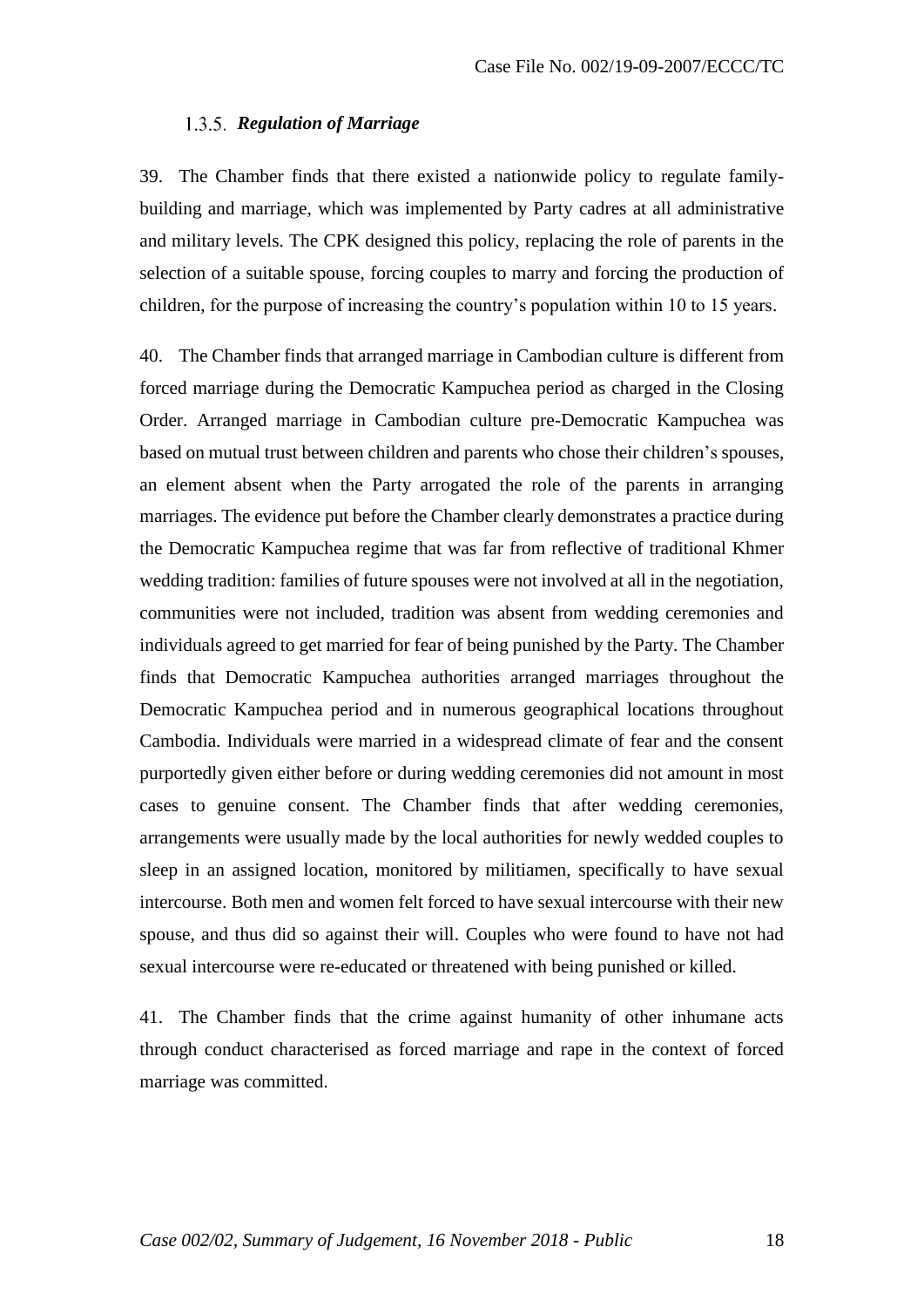## <span id="page-18-0"></span>*Regulation of Marriage*

39. The Chamber finds that there existed a nationwide policy to regulate familybuilding and marriage, which was implemented by Party cadres at all administrative and military levels. The CPK designed this policy, replacing the role of parents in the selection of a suitable spouse, forcing couples to marry and forcing the production of children, for the purpose of increasing the country's population within 10 to 15 years.

40. The Chamber finds that arranged marriage in Cambodian culture is different from forced marriage during the Democratic Kampuchea period as charged in the Closing Order. Arranged marriage in Cambodian culture pre-Democratic Kampuchea was based on mutual trust between children and parents who chose their children's spouses, an element absent when the Party arrogated the role of the parents in arranging marriages. The evidence put before the Chamber clearly demonstrates a practice during the Democratic Kampuchea regime that was far from reflective of traditional Khmer wedding tradition: families of future spouses were not involved at all in the negotiation, communities were not included, tradition was absent from wedding ceremonies and individuals agreed to get married for fear of being punished by the Party. The Chamber finds that Democratic Kampuchea authorities arranged marriages throughout the Democratic Kampuchea period and in numerous geographical locations throughout Cambodia. Individuals were married in a widespread climate of fear and the consent purportedly given either before or during wedding ceremonies did not amount in most cases to genuine consent. The Chamber finds that after wedding ceremonies, arrangements were usually made by the local authorities for newly wedded couples to sleep in an assigned location, monitored by militiamen, specifically to have sexual intercourse. Both men and women felt forced to have sexual intercourse with their new spouse, and thus did so against their will. Couples who were found to have not had sexual intercourse were re-educated or threatened with being punished or killed.

41. The Chamber finds that the crime against humanity of other inhumane acts through conduct characterised as forced marriage and rape in the context of forced marriage was committed.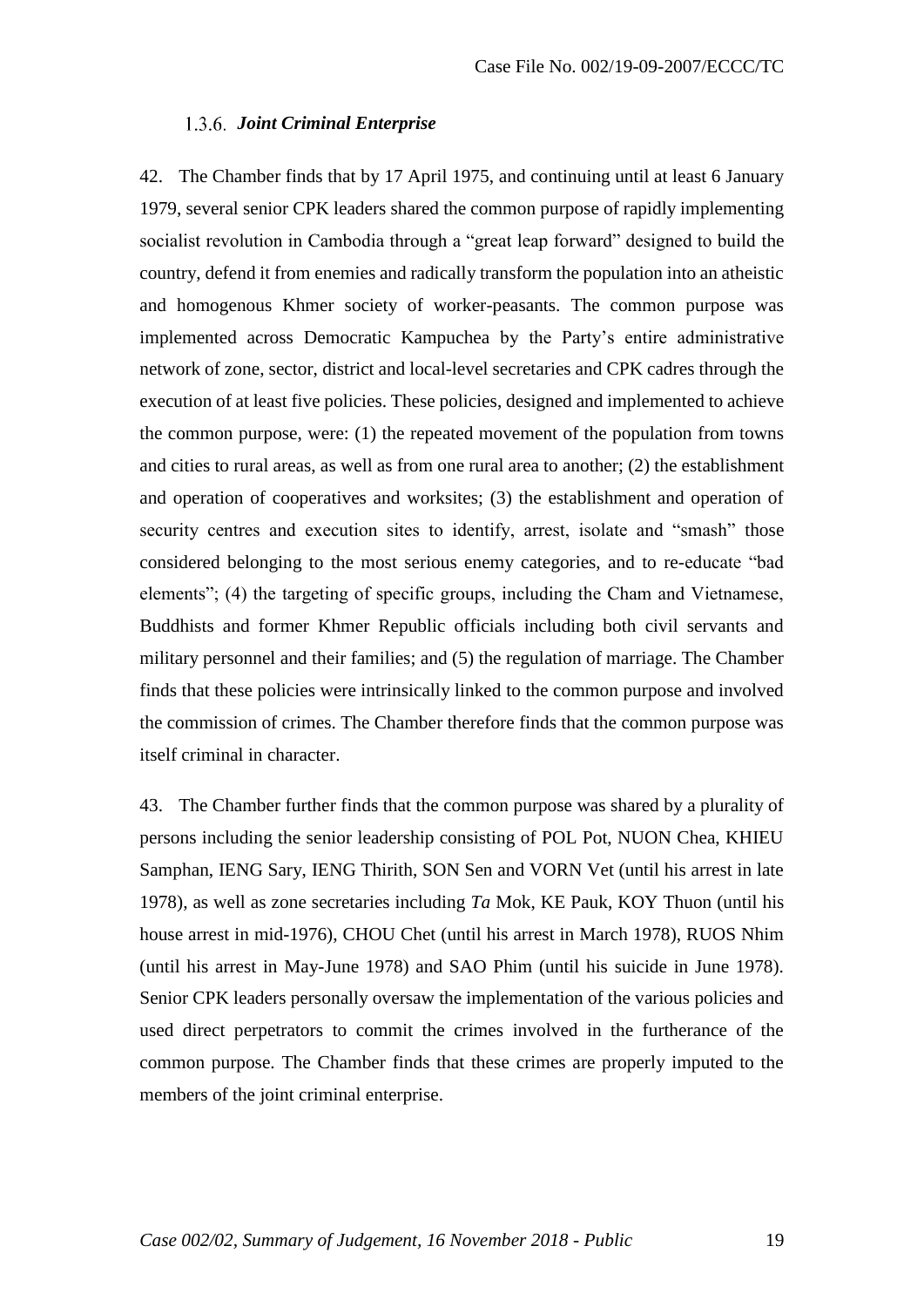## <span id="page-19-0"></span>*Joint Criminal Enterprise*

42. The Chamber finds that by 17 April 1975, and continuing until at least 6 January 1979, several senior CPK leaders shared the common purpose of rapidly implementing socialist revolution in Cambodia through a "great leap forward" designed to build the country, defend it from enemies and radically transform the population into an atheistic and homogenous Khmer society of worker-peasants. The common purpose was implemented across Democratic Kampuchea by the Party's entire administrative network of zone, sector, district and local-level secretaries and CPK cadres through the execution of at least five policies. These policies, designed and implemented to achieve the common purpose, were: (1) the repeated movement of the population from towns and cities to rural areas, as well as from one rural area to another; (2) the establishment and operation of cooperatives and worksites; (3) the establishment and operation of security centres and execution sites to identify, arrest, isolate and "smash" those considered belonging to the most serious enemy categories, and to re-educate "bad elements"; (4) the targeting of specific groups, including the Cham and Vietnamese, Buddhists and former Khmer Republic officials including both civil servants and military personnel and their families; and (5) the regulation of marriage. The Chamber finds that these policies were intrinsically linked to the common purpose and involved the commission of crimes. The Chamber therefore finds that the common purpose was itself criminal in character.

43. The Chamber further finds that the common purpose was shared by a plurality of persons including the senior leadership consisting of POL Pot, NUON Chea, KHIEU Samphan, IENG Sary, IENG Thirith, SON Sen and VORN Vet (until his arrest in late 1978), as well as zone secretaries including *Ta* Mok, KE Pauk, KOY Thuon (until his house arrest in mid-1976), CHOU Chet (until his arrest in March 1978), RUOS Nhim (until his arrest in May-June 1978) and SAO Phim (until his suicide in June 1978). Senior CPK leaders personally oversaw the implementation of the various policies and used direct perpetrators to commit the crimes involved in the furtherance of the common purpose. The Chamber finds that these crimes are properly imputed to the members of the joint criminal enterprise.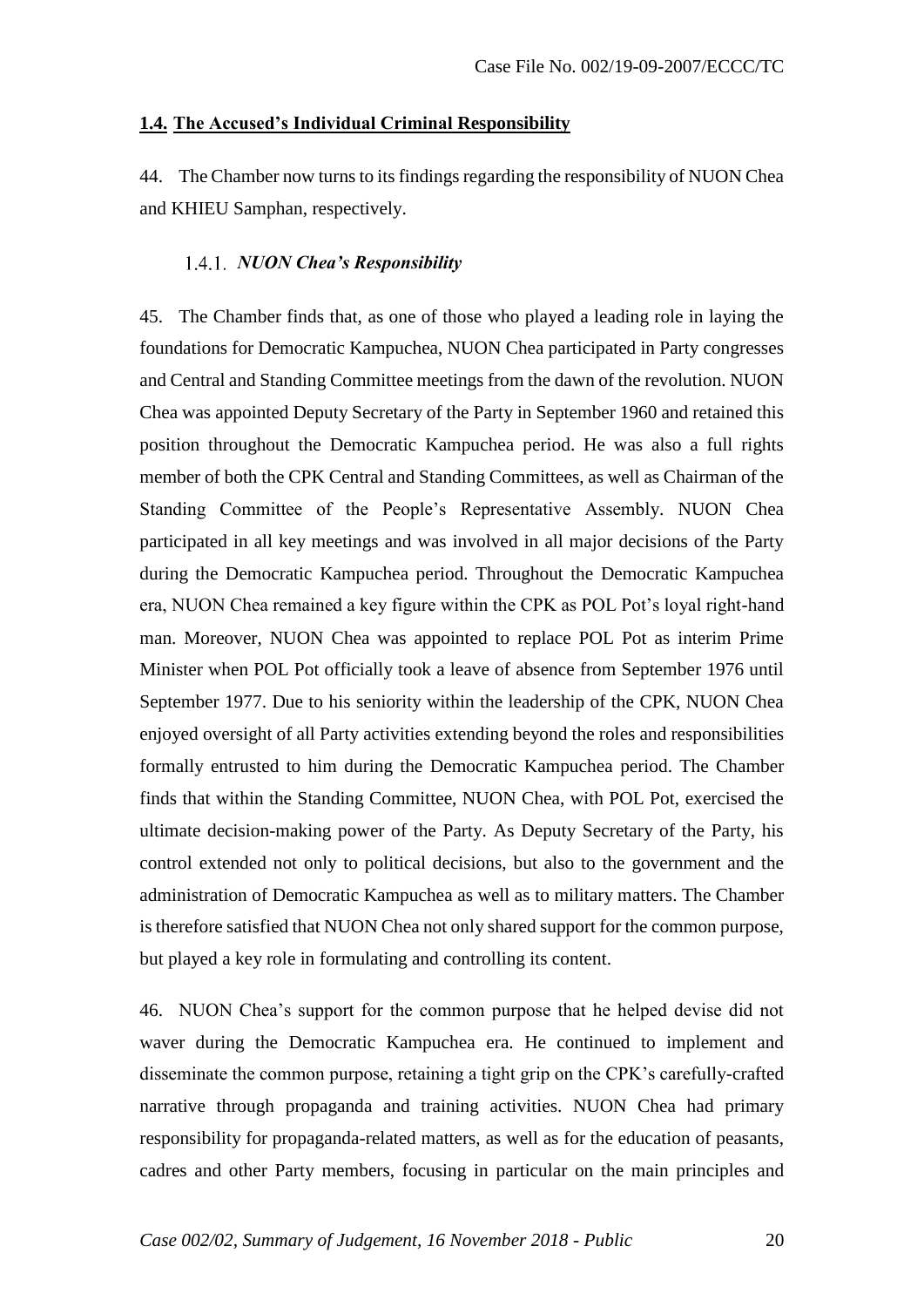## <span id="page-20-0"></span>**1.4. The Accused's Individual Criminal Responsibility**

44. The Chamber now turns to its findings regarding the responsibility of NUON Chea and KHIEU Samphan, respectively.

## <span id="page-20-1"></span>*NUON Chea's Responsibility*

45. The Chamber finds that, as one of those who played a leading role in laying the foundations for Democratic Kampuchea, NUON Chea participated in Party congresses and Central and Standing Committee meetings from the dawn of the revolution. NUON Chea was appointed Deputy Secretary of the Party in September 1960 and retained this position throughout the Democratic Kampuchea period. He was also a full rights member of both the CPK Central and Standing Committees, as well as Chairman of the Standing Committee of the People's Representative Assembly. NUON Chea participated in all key meetings and was involved in all major decisions of the Party during the Democratic Kampuchea period. Throughout the Democratic Kampuchea era, NUON Chea remained a key figure within the CPK as POL Pot's loyal right-hand man. Moreover, NUON Chea was appointed to replace POL Pot as interim Prime Minister when POL Pot officially took a leave of absence from September 1976 until September 1977. Due to his seniority within the leadership of the CPK, NUON Chea enjoyed oversight of all Party activities extending beyond the roles and responsibilities formally entrusted to him during the Democratic Kampuchea period. The Chamber finds that within the Standing Committee, NUON Chea, with POL Pot, exercised the ultimate decision-making power of the Party. As Deputy Secretary of the Party, his control extended not only to political decisions, but also to the government and the administration of Democratic Kampuchea as well as to military matters. The Chamber is therefore satisfied that NUON Chea not only shared support for the common purpose, but played a key role in formulating and controlling its content.

46. NUON Chea's support for the common purpose that he helped devise did not waver during the Democratic Kampuchea era. He continued to implement and disseminate the common purpose, retaining a tight grip on the CPK's carefully-crafted narrative through propaganda and training activities. NUON Chea had primary responsibility for propaganda-related matters, as well as for the education of peasants, cadres and other Party members, focusing in particular on the main principles and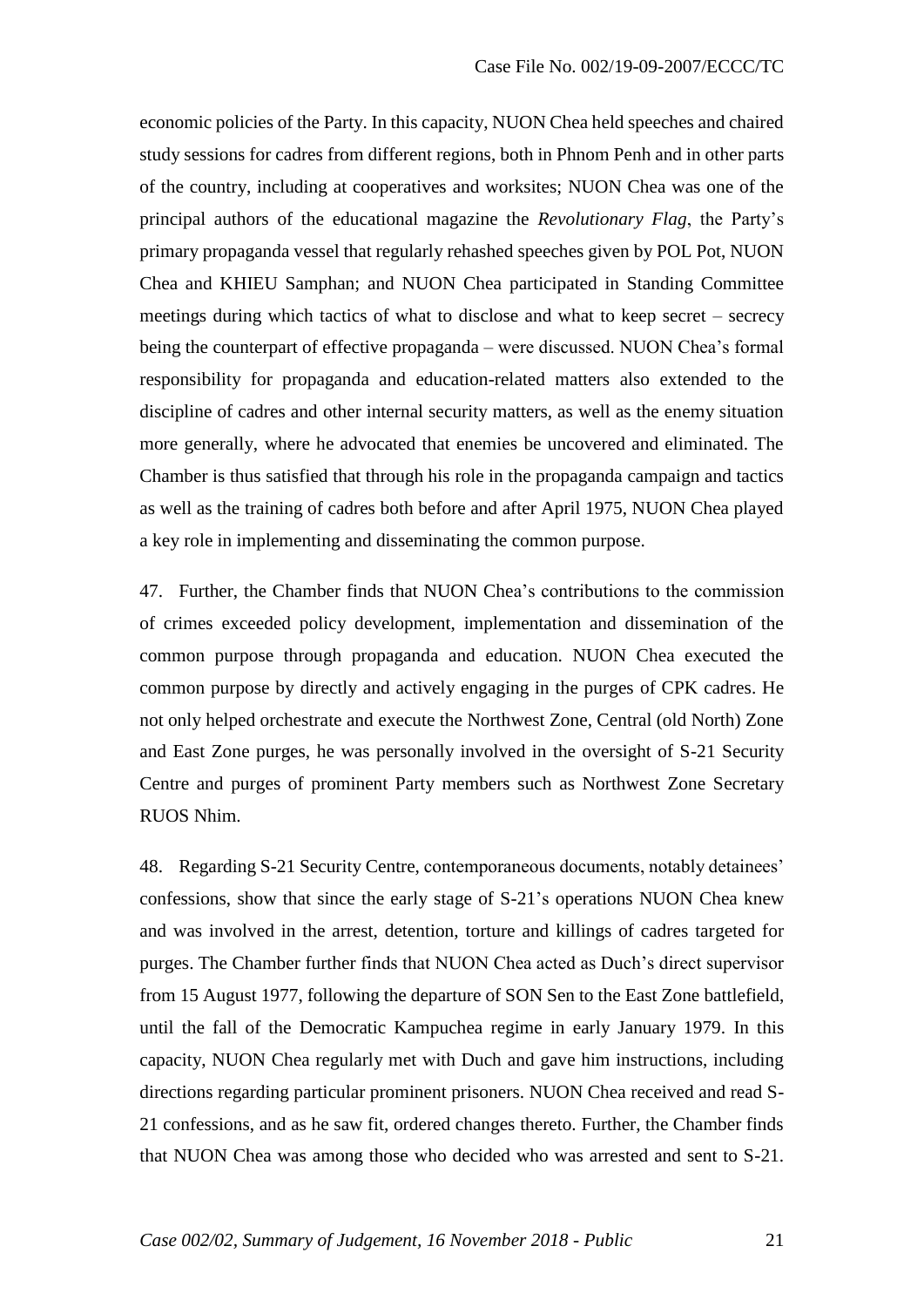economic policies of the Party. In this capacity, NUON Chea held speeches and chaired study sessions for cadres from different regions, both in Phnom Penh and in other parts of the country, including at cooperatives and worksites; NUON Chea was one of the principal authors of the educational magazine the *Revolutionary Flag*, the Party's primary propaganda vessel that regularly rehashed speeches given by POL Pot, NUON Chea and KHIEU Samphan; and NUON Chea participated in Standing Committee meetings during which tactics of what to disclose and what to keep secret – secrecy being the counterpart of effective propaganda – were discussed. NUON Chea's formal responsibility for propaganda and education-related matters also extended to the discipline of cadres and other internal security matters, as well as the enemy situation more generally, where he advocated that enemies be uncovered and eliminated. The Chamber is thus satisfied that through his role in the propaganda campaign and tactics as well as the training of cadres both before and after April 1975, NUON Chea played a key role in implementing and disseminating the common purpose.

47. Further, the Chamber finds that NUON Chea's contributions to the commission of crimes exceeded policy development, implementation and dissemination of the common purpose through propaganda and education. NUON Chea executed the common purpose by directly and actively engaging in the purges of CPK cadres. He not only helped orchestrate and execute the Northwest Zone, Central (old North) Zone and East Zone purges, he was personally involved in the oversight of S-21 Security Centre and purges of prominent Party members such as Northwest Zone Secretary RUOS Nhim.

48. Regarding S-21 Security Centre, contemporaneous documents, notably detainees' confessions, show that since the early stage of S-21's operations NUON Chea knew and was involved in the arrest, detention, torture and killings of cadres targeted for purges. The Chamber further finds that NUON Chea acted as Duch's direct supervisor from 15 August 1977, following the departure of SON Sen to the East Zone battlefield, until the fall of the Democratic Kampuchea regime in early January 1979. In this capacity, NUON Chea regularly met with Duch and gave him instructions, including directions regarding particular prominent prisoners. NUON Chea received and read S-21 confessions, and as he saw fit, ordered changes thereto. Further, the Chamber finds that NUON Chea was among those who decided who was arrested and sent to S-21.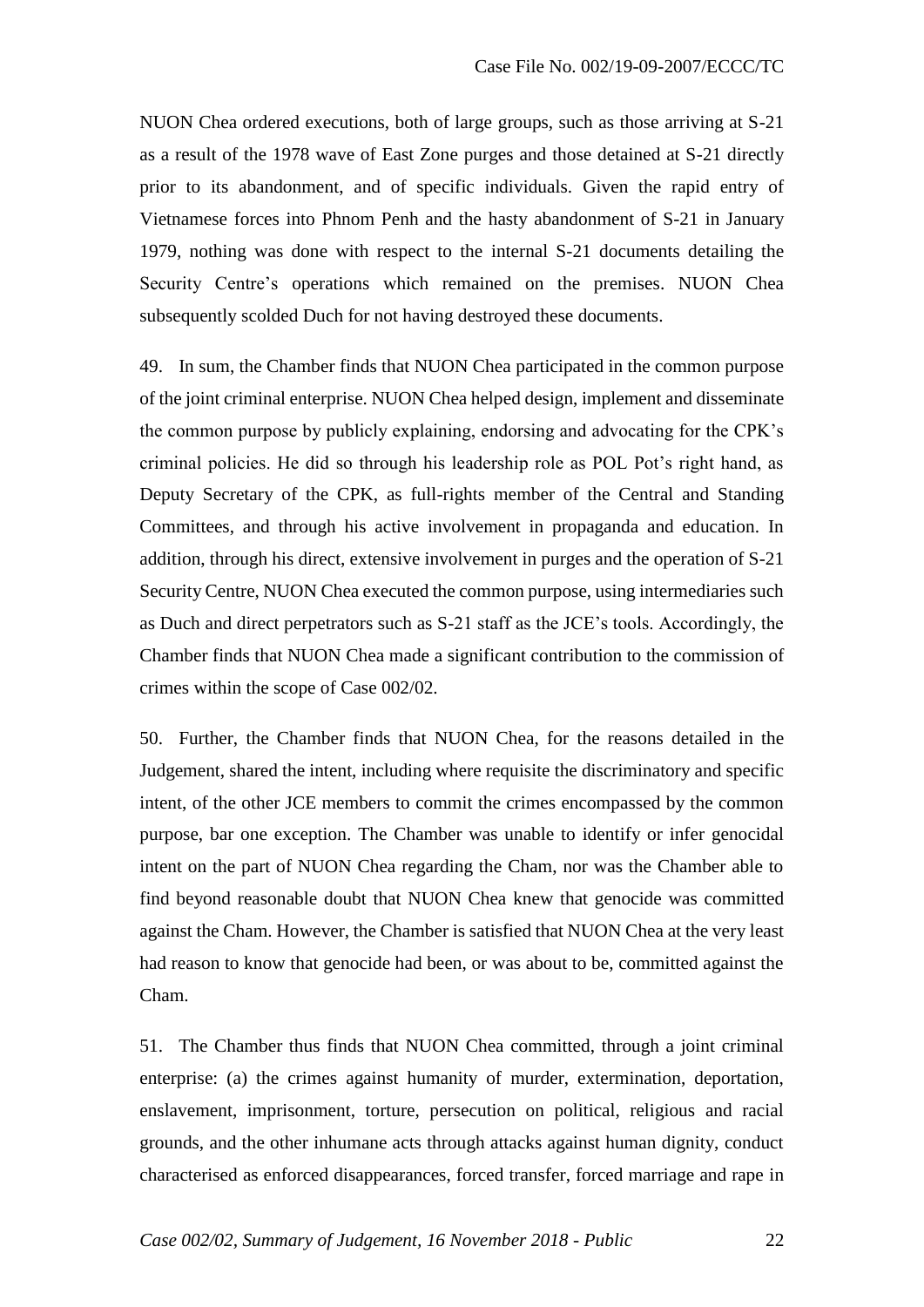NUON Chea ordered executions, both of large groups, such as those arriving at S-21 as a result of the 1978 wave of East Zone purges and those detained at S-21 directly prior to its abandonment, and of specific individuals. Given the rapid entry of Vietnamese forces into Phnom Penh and the hasty abandonment of S-21 in January 1979, nothing was done with respect to the internal S-21 documents detailing the Security Centre's operations which remained on the premises. NUON Chea subsequently scolded Duch for not having destroyed these documents.

49. In sum, the Chamber finds that NUON Chea participated in the common purpose of the joint criminal enterprise. NUON Chea helped design, implement and disseminate the common purpose by publicly explaining, endorsing and advocating for the CPK's criminal policies. He did so through his leadership role as POL Pot's right hand, as Deputy Secretary of the CPK, as full-rights member of the Central and Standing Committees, and through his active involvement in propaganda and education. In addition, through his direct, extensive involvement in purges and the operation of S-21 Security Centre, NUON Chea executed the common purpose, using intermediaries such as Duch and direct perpetrators such as S-21 staff as the JCE's tools. Accordingly, the Chamber finds that NUON Chea made a significant contribution to the commission of crimes within the scope of Case 002/02.

50. Further, the Chamber finds that NUON Chea, for the reasons detailed in the Judgement, shared the intent, including where requisite the discriminatory and specific intent, of the other JCE members to commit the crimes encompassed by the common purpose, bar one exception. The Chamber was unable to identify or infer genocidal intent on the part of NUON Chea regarding the Cham, nor was the Chamber able to find beyond reasonable doubt that NUON Chea knew that genocide was committed against the Cham. However, the Chamber is satisfied that NUON Chea at the very least had reason to know that genocide had been, or was about to be, committed against the Cham.

51. The Chamber thus finds that NUON Chea committed, through a joint criminal enterprise: (a) the crimes against humanity of murder, extermination, deportation, enslavement, imprisonment, torture, persecution on political, religious and racial grounds, and the other inhumane acts through attacks against human dignity, conduct characterised as enforced disappearances, forced transfer, forced marriage and rape in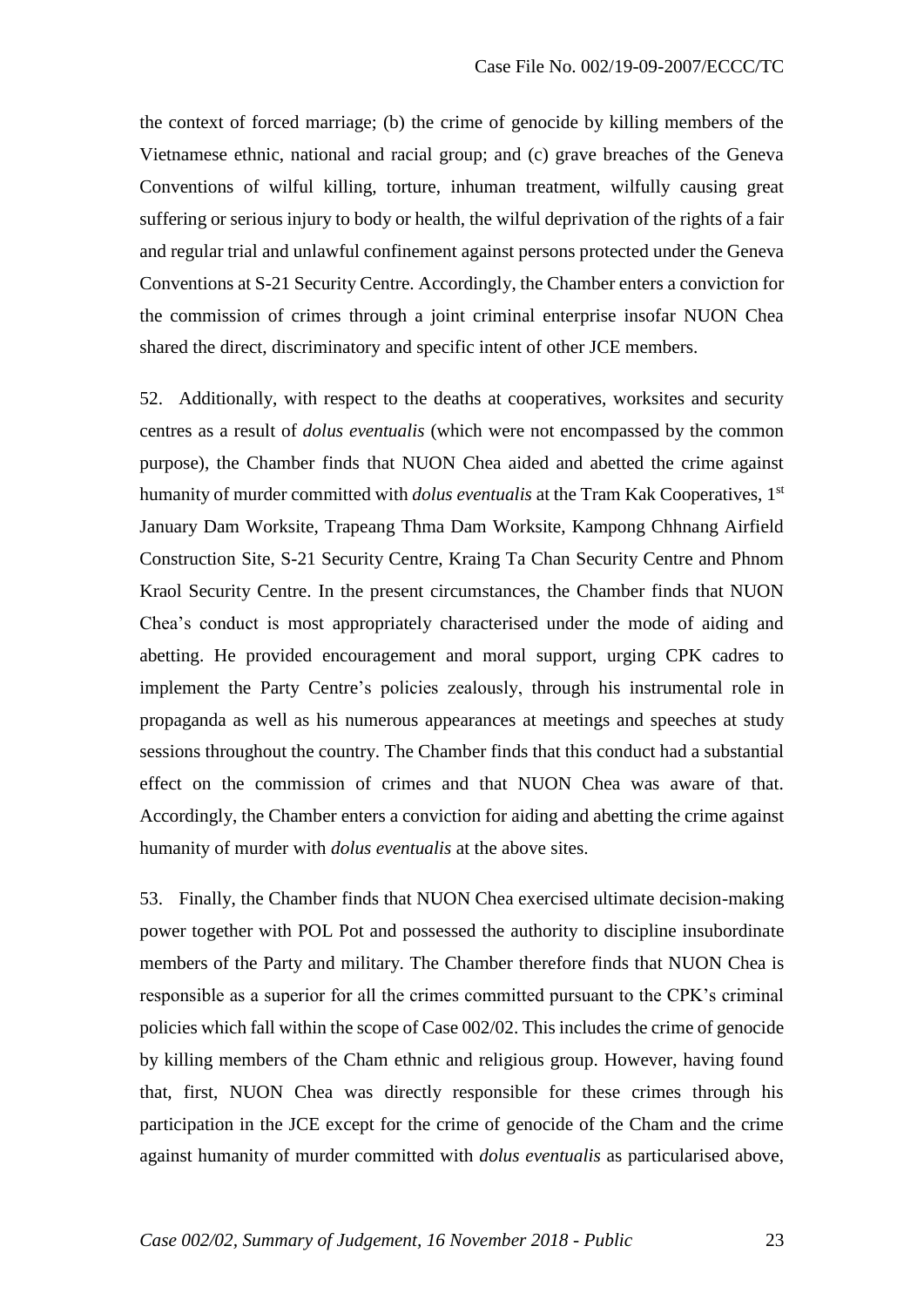the context of forced marriage; (b) the crime of genocide by killing members of the Vietnamese ethnic, national and racial group; and (c) grave breaches of the Geneva Conventions of wilful killing, torture, inhuman treatment, wilfully causing great suffering or serious injury to body or health, the wilful deprivation of the rights of a fair and regular trial and unlawful confinement against persons protected under the Geneva Conventions at S-21 Security Centre. Accordingly, the Chamber enters a conviction for the commission of crimes through a joint criminal enterprise insofar NUON Chea shared the direct, discriminatory and specific intent of other JCE members.

52. Additionally, with respect to the deaths at cooperatives, worksites and security centres as a result of *dolus eventualis* (which were not encompassed by the common purpose), the Chamber finds that NUON Chea aided and abetted the crime against humanity of murder committed with *dolus eventualis* at the Tram Kak Cooperatives, 1<sup>st</sup> January Dam Worksite, Trapeang Thma Dam Worksite, Kampong Chhnang Airfield Construction Site, S-21 Security Centre, Kraing Ta Chan Security Centre and Phnom Kraol Security Centre. In the present circumstances, the Chamber finds that NUON Chea's conduct is most appropriately characterised under the mode of aiding and abetting. He provided encouragement and moral support, urging CPK cadres to implement the Party Centre's policies zealously, through his instrumental role in propaganda as well as his numerous appearances at meetings and speeches at study sessions throughout the country. The Chamber finds that this conduct had a substantial effect on the commission of crimes and that NUON Chea was aware of that. Accordingly, the Chamber enters a conviction for aiding and abetting the crime against humanity of murder with *dolus eventualis* at the above sites.

53. Finally, the Chamber finds that NUON Chea exercised ultimate decision-making power together with POL Pot and possessed the authority to discipline insubordinate members of the Party and military. The Chamber therefore finds that NUON Chea is responsible as a superior for all the crimes committed pursuant to the CPK's criminal policies which fall within the scope of Case 002/02. This includes the crime of genocide by killing members of the Cham ethnic and religious group. However, having found that, first, NUON Chea was directly responsible for these crimes through his participation in the JCE except for the crime of genocide of the Cham and the crime against humanity of murder committed with *dolus eventualis* as particularised above,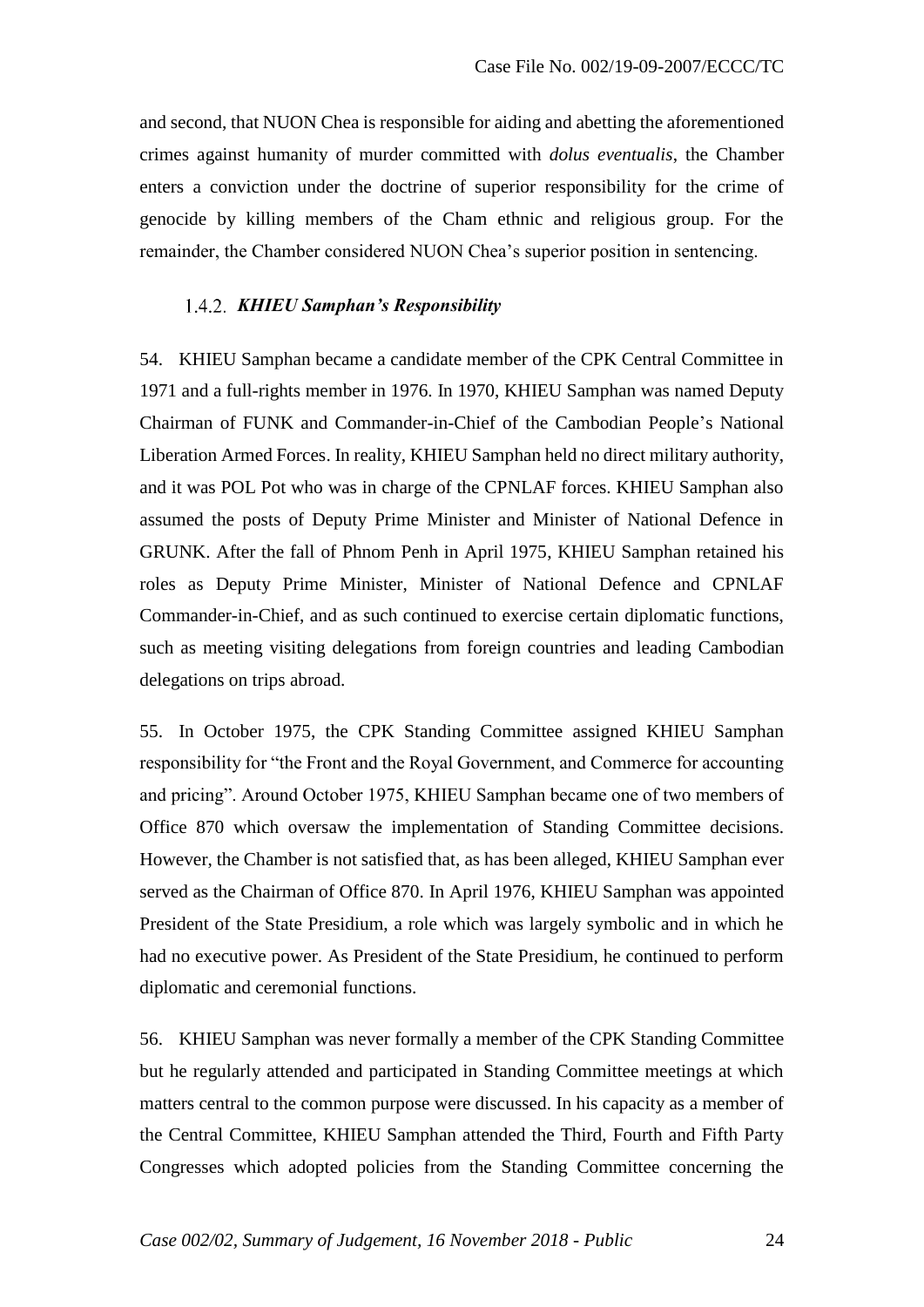and second, that NUON Chea is responsible for aiding and abetting the aforementioned crimes against humanity of murder committed with *dolus eventualis*, the Chamber enters a conviction under the doctrine of superior responsibility for the crime of genocide by killing members of the Cham ethnic and religious group. For the remainder, the Chamber considered NUON Chea's superior position in sentencing.

## <span id="page-24-0"></span>*KHIEU Samphan's Responsibility*

54. KHIEU Samphan became a candidate member of the CPK Central Committee in 1971 and a full-rights member in 1976. In 1970, KHIEU Samphan was named Deputy Chairman of FUNK and Commander-in-Chief of the Cambodian People's National Liberation Armed Forces. In reality, KHIEU Samphan held no direct military authority, and it was POL Pot who was in charge of the CPNLAF forces. KHIEU Samphan also assumed the posts of Deputy Prime Minister and Minister of National Defence in GRUNK. After the fall of Phnom Penh in April 1975, KHIEU Samphan retained his roles as Deputy Prime Minister, Minister of National Defence and CPNLAF Commander-in-Chief, and as such continued to exercise certain diplomatic functions, such as meeting visiting delegations from foreign countries and leading Cambodian delegations on trips abroad.

55. In October 1975, the CPK Standing Committee assigned KHIEU Samphan responsibility for "the Front and the Royal Government, and Commerce for accounting and pricing". Around October 1975, KHIEU Samphan became one of two members of Office 870 which oversaw the implementation of Standing Committee decisions. However, the Chamber is not satisfied that, as has been alleged, KHIEU Samphan ever served as the Chairman of Office 870. In April 1976, KHIEU Samphan was appointed President of the State Presidium, a role which was largely symbolic and in which he had no executive power. As President of the State Presidium, he continued to perform diplomatic and ceremonial functions.

56. KHIEU Samphan was never formally a member of the CPK Standing Committee but he regularly attended and participated in Standing Committee meetings at which matters central to the common purpose were discussed. In his capacity as a member of the Central Committee, KHIEU Samphan attended the Third, Fourth and Fifth Party Congresses which adopted policies from the Standing Committee concerning the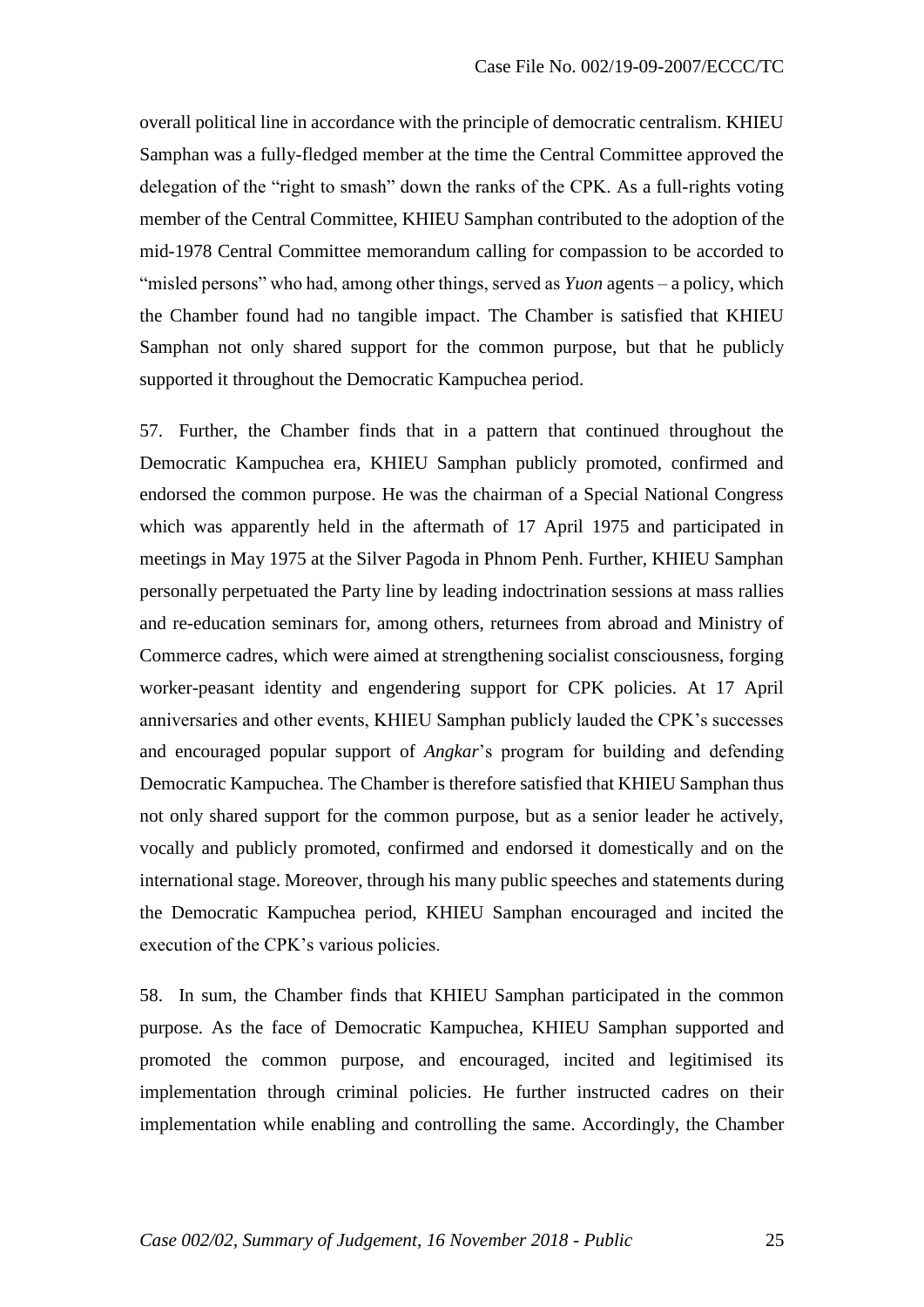overall political line in accordance with the principle of democratic centralism. KHIEU Samphan was a fully-fledged member at the time the Central Committee approved the delegation of the "right to smash" down the ranks of the CPK. As a full-rights voting member of the Central Committee, KHIEU Samphan contributed to the adoption of the mid-1978 Central Committee memorandum calling for compassion to be accorded to "misled persons" who had, among other things, served as *Yuon* agents – a policy, which the Chamber found had no tangible impact. The Chamber is satisfied that KHIEU Samphan not only shared support for the common purpose, but that he publicly supported it throughout the Democratic Kampuchea period.

57. Further, the Chamber finds that in a pattern that continued throughout the Democratic Kampuchea era, KHIEU Samphan publicly promoted, confirmed and endorsed the common purpose. He was the chairman of a Special National Congress which was apparently held in the aftermath of 17 April 1975 and participated in meetings in May 1975 at the Silver Pagoda in Phnom Penh. Further, KHIEU Samphan personally perpetuated the Party line by leading indoctrination sessions at mass rallies and re-education seminars for, among others, returnees from abroad and Ministry of Commerce cadres, which were aimed at strengthening socialist consciousness, forging worker-peasant identity and engendering support for CPK policies. At 17 April anniversaries and other events, KHIEU Samphan publicly lauded the CPK's successes and encouraged popular support of *Angkar*'s program for building and defending Democratic Kampuchea. The Chamber is therefore satisfied that KHIEU Samphan thus not only shared support for the common purpose, but as a senior leader he actively, vocally and publicly promoted, confirmed and endorsed it domestically and on the international stage. Moreover, through his many public speeches and statements during the Democratic Kampuchea period, KHIEU Samphan encouraged and incited the execution of the CPK's various policies.

58. In sum, the Chamber finds that KHIEU Samphan participated in the common purpose. As the face of Democratic Kampuchea, KHIEU Samphan supported and promoted the common purpose, and encouraged, incited and legitimised its implementation through criminal policies. He further instructed cadres on their implementation while enabling and controlling the same. Accordingly, the Chamber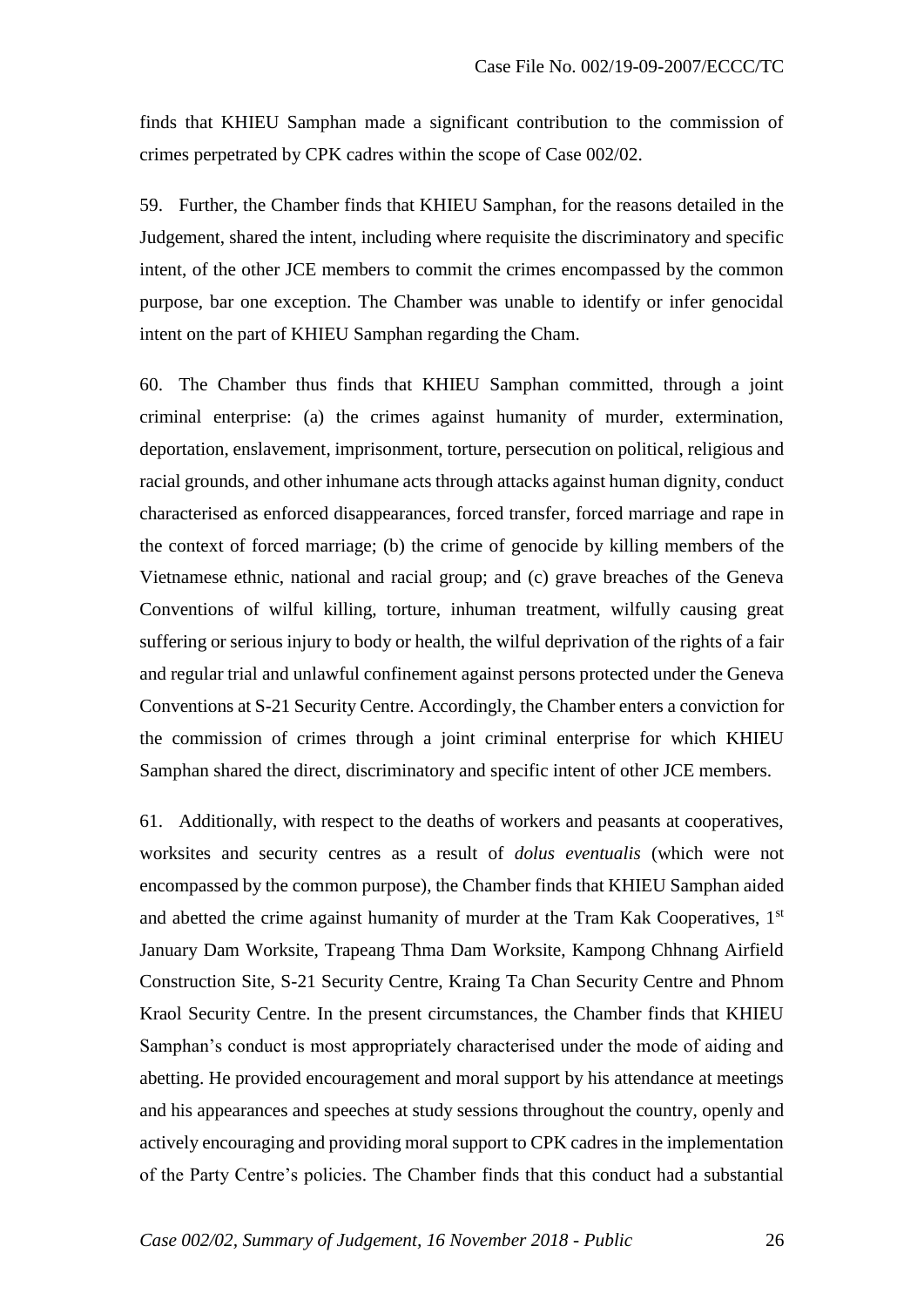finds that KHIEU Samphan made a significant contribution to the commission of crimes perpetrated by CPK cadres within the scope of Case 002/02.

59. Further, the Chamber finds that KHIEU Samphan, for the reasons detailed in the Judgement, shared the intent, including where requisite the discriminatory and specific intent, of the other JCE members to commit the crimes encompassed by the common purpose, bar one exception. The Chamber was unable to identify or infer genocidal intent on the part of KHIEU Samphan regarding the Cham.

60. The Chamber thus finds that KHIEU Samphan committed, through a joint criminal enterprise: (a) the crimes against humanity of murder, extermination, deportation, enslavement, imprisonment, torture, persecution on political, religious and racial grounds, and other inhumane acts through attacks against human dignity, conduct characterised as enforced disappearances, forced transfer, forced marriage and rape in the context of forced marriage; (b) the crime of genocide by killing members of the Vietnamese ethnic, national and racial group; and (c) grave breaches of the Geneva Conventions of wilful killing, torture, inhuman treatment, wilfully causing great suffering or serious injury to body or health, the wilful deprivation of the rights of a fair and regular trial and unlawful confinement against persons protected under the Geneva Conventions at S-21 Security Centre. Accordingly, the Chamber enters a conviction for the commission of crimes through a joint criminal enterprise for which KHIEU Samphan shared the direct, discriminatory and specific intent of other JCE members.

61. Additionally, with respect to the deaths of workers and peasants at cooperatives, worksites and security centres as a result of *dolus eventualis* (which were not encompassed by the common purpose), the Chamber finds that KHIEU Samphan aided and abetted the crime against humanity of murder at the Tram Kak Cooperatives, 1st January Dam Worksite, Trapeang Thma Dam Worksite, Kampong Chhnang Airfield Construction Site, S-21 Security Centre, Kraing Ta Chan Security Centre and Phnom Kraol Security Centre. In the present circumstances, the Chamber finds that KHIEU Samphan's conduct is most appropriately characterised under the mode of aiding and abetting. He provided encouragement and moral support by his attendance at meetings and his appearances and speeches at study sessions throughout the country, openly and actively encouraging and providing moral support to CPK cadres in the implementation of the Party Centre's policies. The Chamber finds that this conduct had a substantial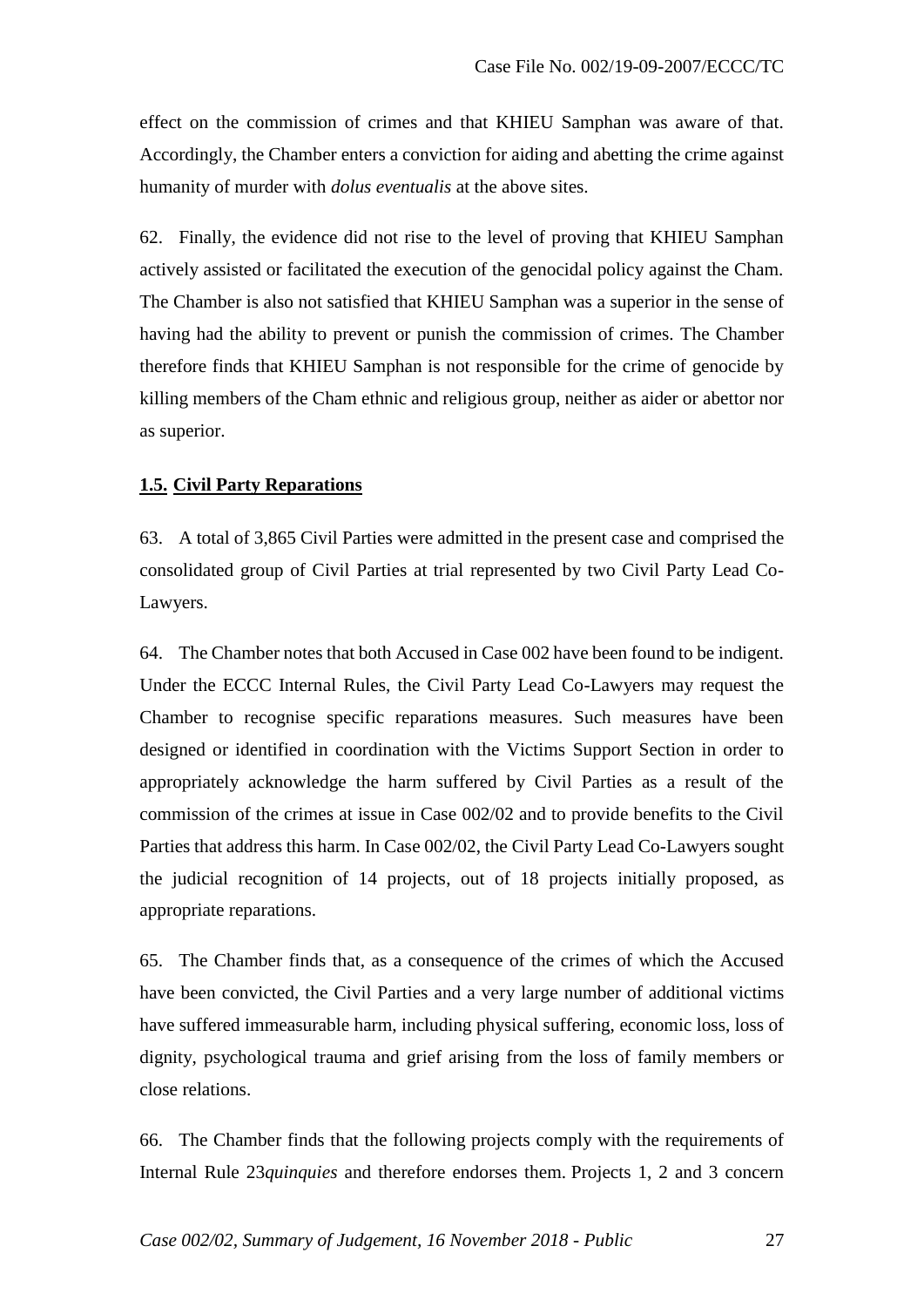effect on the commission of crimes and that KHIEU Samphan was aware of that. Accordingly, the Chamber enters a conviction for aiding and abetting the crime against humanity of murder with *dolus eventualis* at the above sites.

62. Finally, the evidence did not rise to the level of proving that KHIEU Samphan actively assisted or facilitated the execution of the genocidal policy against the Cham. The Chamber is also not satisfied that KHIEU Samphan was a superior in the sense of having had the ability to prevent or punish the commission of crimes. The Chamber therefore finds that KHIEU Samphan is not responsible for the crime of genocide by killing members of the Cham ethnic and religious group, neither as aider or abettor nor as superior.

## <span id="page-27-0"></span>**1.5. Civil Party Reparations**

63. A total of 3,865 Civil Parties were admitted in the present case and comprised the consolidated group of Civil Parties at trial represented by two Civil Party Lead Co-Lawyers.

64. The Chamber notes that both Accused in Case 002 have been found to be indigent. Under the ECCC Internal Rules, the Civil Party Lead Co-Lawyers may request the Chamber to recognise specific reparations measures. Such measures have been designed or identified in coordination with the Victims Support Section in order to appropriately acknowledge the harm suffered by Civil Parties as a result of the commission of the crimes at issue in Case 002/02 and to provide benefits to the Civil Parties that address this harm. In Case 002/02, the Civil Party Lead Co-Lawyers sought the judicial recognition of 14 projects, out of 18 projects initially proposed, as appropriate reparations.

65. The Chamber finds that, as a consequence of the crimes of which the Accused have been convicted, the Civil Parties and a very large number of additional victims have suffered immeasurable harm, including physical suffering, economic loss, loss of dignity, psychological trauma and grief arising from the loss of family members or close relations.

66. The Chamber finds that the following projects comply with the requirements of Internal Rule 23*quinquies* and therefore endorses them. Projects 1, 2 and 3 concern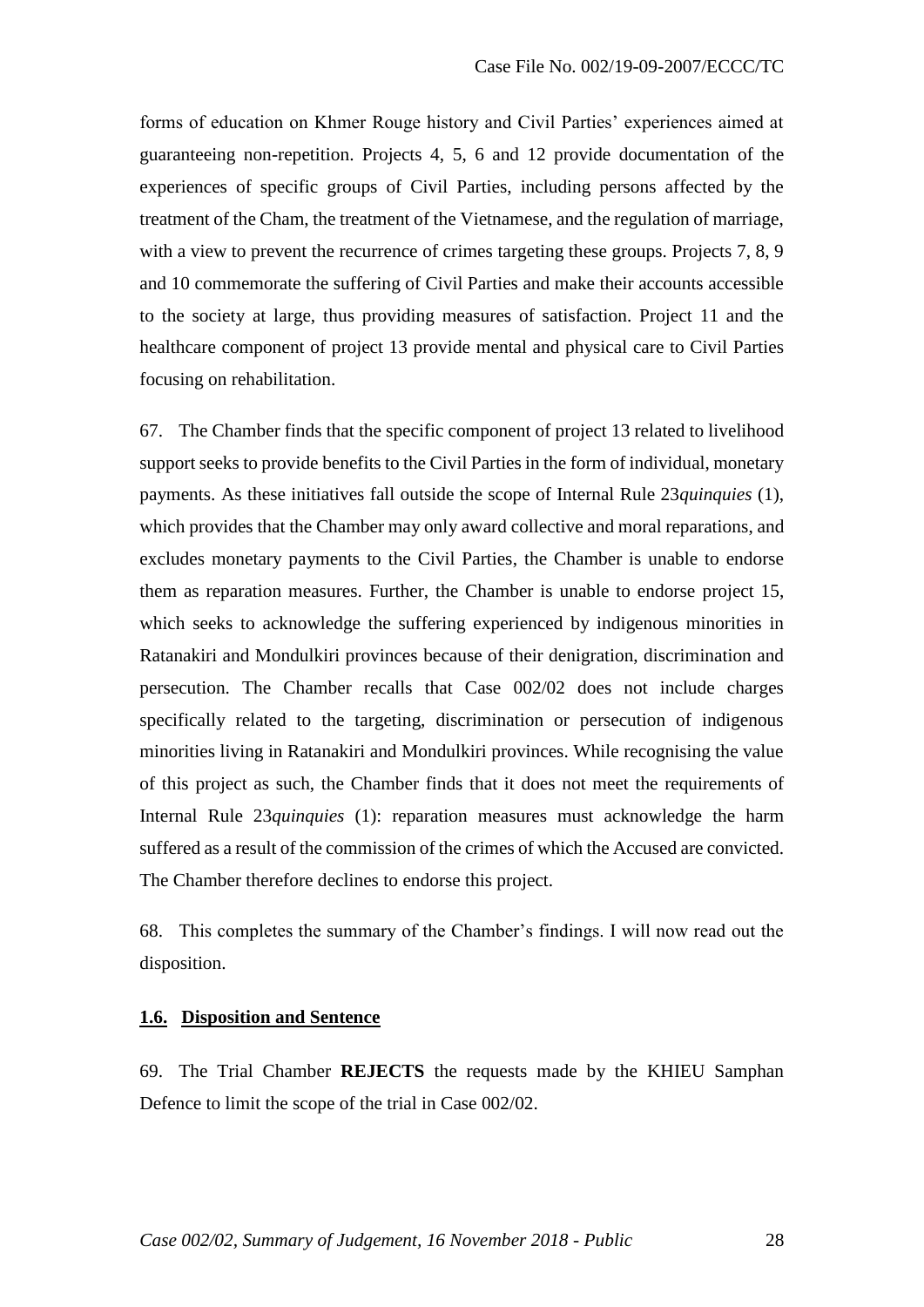forms of education on Khmer Rouge history and Civil Parties' experiences aimed at guaranteeing non-repetition. Projects 4, 5, 6 and 12 provide documentation of the experiences of specific groups of Civil Parties, including persons affected by the treatment of the Cham, the treatment of the Vietnamese, and the regulation of marriage, with a view to prevent the recurrence of crimes targeting these groups. Projects 7, 8, 9 and 10 commemorate the suffering of Civil Parties and make their accounts accessible to the society at large, thus providing measures of satisfaction. Project 11 and the healthcare component of project 13 provide mental and physical care to Civil Parties focusing on rehabilitation.

67. The Chamber finds that the specific component of project 13 related to livelihood support seeks to provide benefits to the Civil Parties in the form of individual, monetary payments. As these initiatives fall outside the scope of Internal Rule 23*quinquies* (1), which provides that the Chamber may only award collective and moral reparations, and excludes monetary payments to the Civil Parties, the Chamber is unable to endorse them as reparation measures. Further, the Chamber is unable to endorse project 15, which seeks to acknowledge the suffering experienced by indigenous minorities in Ratanakiri and Mondulkiri provinces because of their denigration, discrimination and persecution. The Chamber recalls that Case 002/02 does not include charges specifically related to the targeting, discrimination or persecution of indigenous minorities living in Ratanakiri and Mondulkiri provinces. While recognising the value of this project as such, the Chamber finds that it does not meet the requirements of Internal Rule 23*quinquies* (1): reparation measures must acknowledge the harm suffered as a result of the commission of the crimes of which the Accused are convicted. The Chamber therefore declines to endorse this project.

68. This completes the summary of the Chamber's findings. I will now read out the disposition.

## <span id="page-28-0"></span>**1.6. Disposition and Sentence**

69. The Trial Chamber **REJECTS** the requests made by the KHIEU Samphan Defence to limit the scope of the trial in Case 002/02.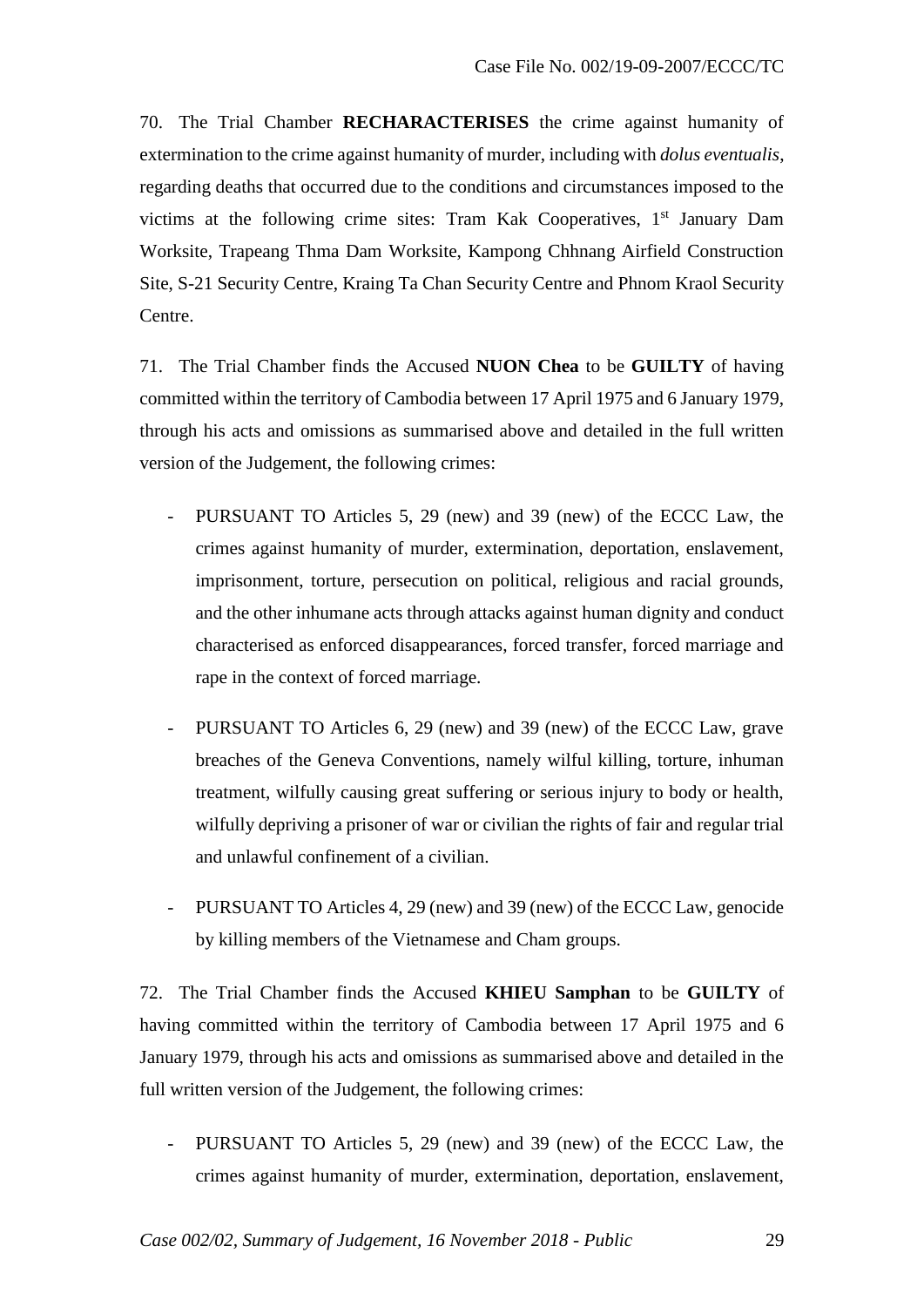70. The Trial Chamber **RECHARACTERISES** the crime against humanity of extermination to the crime against humanity of murder, including with *dolus eventualis*, regarding deaths that occurred due to the conditions and circumstances imposed to the victims at the following crime sites: Tram Kak Cooperatives, 1<sup>st</sup> January Dam Worksite, Trapeang Thma Dam Worksite, Kampong Chhnang Airfield Construction Site, S-21 Security Centre, Kraing Ta Chan Security Centre and Phnom Kraol Security Centre.

71. The Trial Chamber finds the Accused **NUON Chea** to be **GUILTY** of having committed within the territory of Cambodia between 17 April 1975 and 6 January 1979, through his acts and omissions as summarised above and detailed in the full written version of the Judgement, the following crimes:

- PURSUANT TO Articles 5, 29 (new) and 39 (new) of the ECCC Law, the crimes against humanity of murder, extermination, deportation, enslavement, imprisonment, torture, persecution on political, religious and racial grounds, and the other inhumane acts through attacks against human dignity and conduct characterised as enforced disappearances, forced transfer, forced marriage and rape in the context of forced marriage.
- PURSUANT TO Articles 6, 29 (new) and 39 (new) of the ECCC Law, grave breaches of the Geneva Conventions, namely wilful killing, torture, inhuman treatment, wilfully causing great suffering or serious injury to body or health, wilfully depriving a prisoner of war or civilian the rights of fair and regular trial and unlawful confinement of a civilian.
- PURSUANT TO Articles 4, 29 (new) and 39 (new) of the ECCC Law, genocide by killing members of the Vietnamese and Cham groups.

72. The Trial Chamber finds the Accused **KHIEU Samphan** to be **GUILTY** of having committed within the territory of Cambodia between 17 April 1975 and 6 January 1979, through his acts and omissions as summarised above and detailed in the full written version of the Judgement, the following crimes:

- PURSUANT TO Articles 5, 29 (new) and 39 (new) of the ECCC Law, the crimes against humanity of murder, extermination, deportation, enslavement,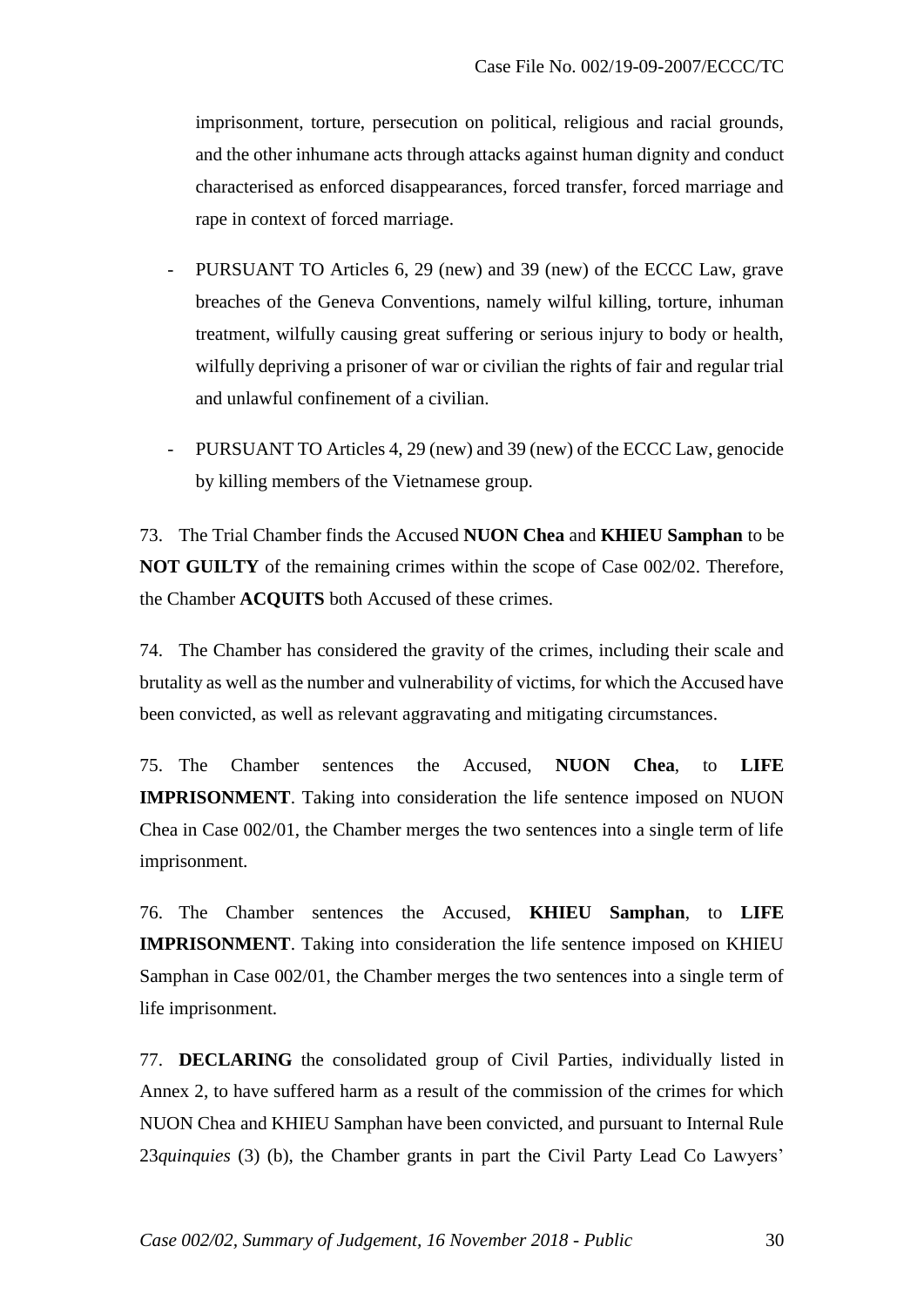imprisonment, torture, persecution on political, religious and racial grounds, and the other inhumane acts through attacks against human dignity and conduct characterised as enforced disappearances, forced transfer, forced marriage and rape in context of forced marriage.

- PURSUANT TO Articles 6, 29 (new) and 39 (new) of the ECCC Law, grave breaches of the Geneva Conventions, namely wilful killing, torture, inhuman treatment, wilfully causing great suffering or serious injury to body or health, wilfully depriving a prisoner of war or civilian the rights of fair and regular trial and unlawful confinement of a civilian.
- PURSUANT TO Articles 4, 29 (new) and 39 (new) of the ECCC Law, genocide by killing members of the Vietnamese group.

73. The Trial Chamber finds the Accused **NUON Chea** and **KHIEU Samphan** to be **NOT GUILTY** of the remaining crimes within the scope of Case 002/02. Therefore, the Chamber **ACQUITS** both Accused of these crimes.

74. The Chamber has considered the gravity of the crimes, including their scale and brutality as well as the number and vulnerability of victims, for which the Accused have been convicted, as well as relevant aggravating and mitigating circumstances.

75. The Chamber sentences the Accused, **NUON Chea**, to **LIFE IMPRISONMENT**. Taking into consideration the life sentence imposed on NUON Chea in Case 002/01, the Chamber merges the two sentences into a single term of life imprisonment.

76. The Chamber sentences the Accused, **KHIEU Samphan**, to **LIFE IMPRISONMENT**. Taking into consideration the life sentence imposed on KHIEU Samphan in Case 002/01, the Chamber merges the two sentences into a single term of life imprisonment.

77. **DECLARING** the consolidated group of Civil Parties, individually listed in Annex 2, to have suffered harm as a result of the commission of the crimes for which NUON Chea and KHIEU Samphan have been convicted, and pursuant to Internal Rule 23*quinquies* (3) (b), the Chamber grants in part the Civil Party Lead Co Lawyers'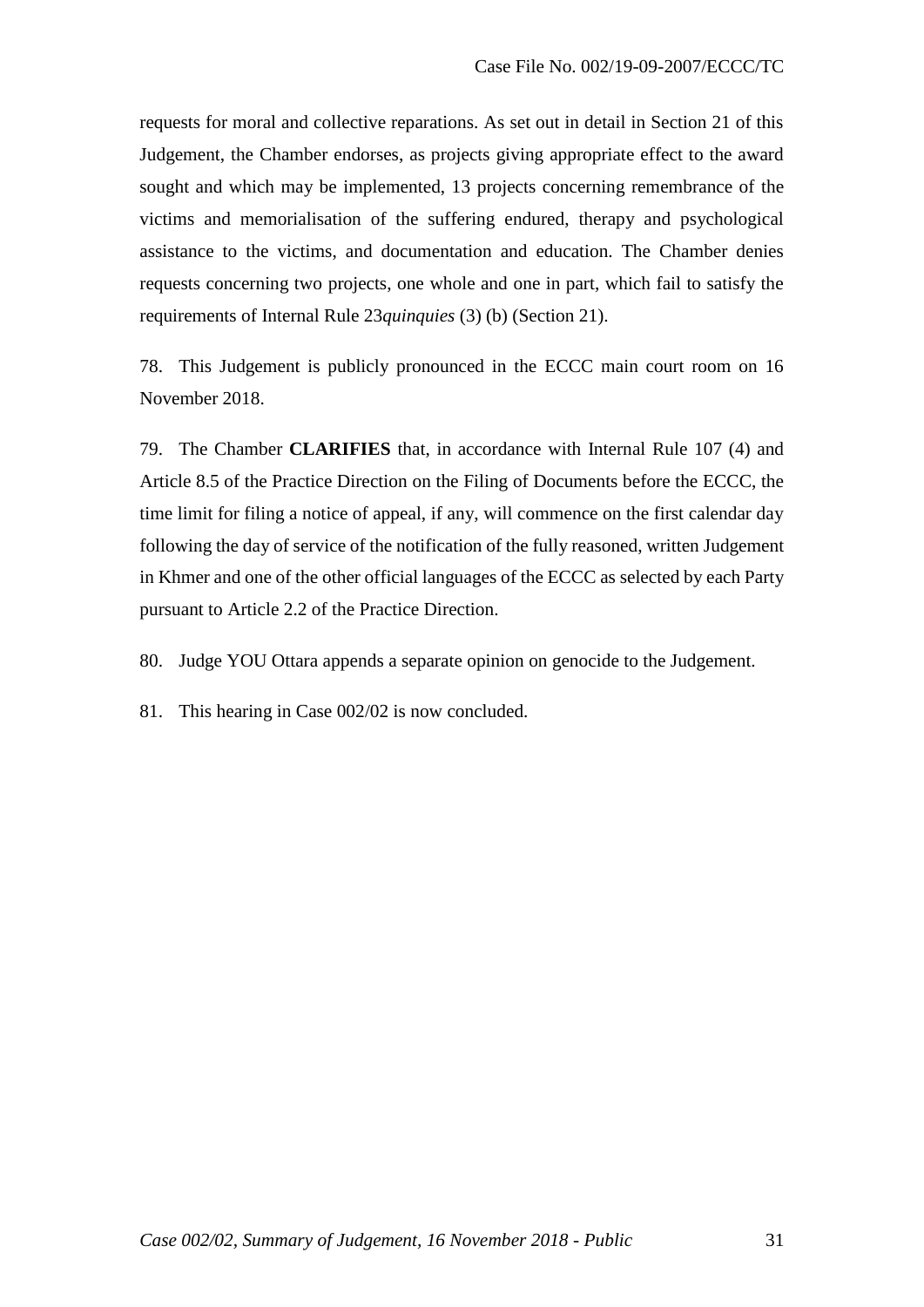requests for moral and collective reparations. As set out in detail in Section 21 of this Judgement, the Chamber endorses, as projects giving appropriate effect to the award sought and which may be implemented, 13 projects concerning remembrance of the victims and memorialisation of the suffering endured, therapy and psychological assistance to the victims, and documentation and education. The Chamber denies requests concerning two projects, one whole and one in part, which fail to satisfy the requirements of Internal Rule 23*quinquies* (3) (b) (Section 21).

78. This Judgement is publicly pronounced in the ECCC main court room on 16 November 2018.

79. The Chamber **CLARIFIES** that, in accordance with Internal Rule 107 (4) and Article 8.5 of the Practice Direction on the Filing of Documents before the ECCC, the time limit for filing a notice of appeal, if any, will commence on the first calendar day following the day of service of the notification of the fully reasoned, written Judgement in Khmer and one of the other official languages of the ECCC as selected by each Party pursuant to Article 2.2 of the Practice Direction.

80. Judge YOU Ottara appends a separate opinion on genocide to the Judgement.

81. This hearing in Case 002/02 is now concluded.